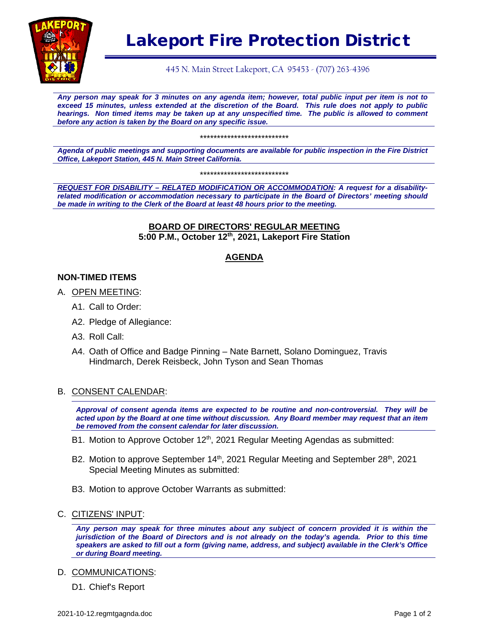

# Lakeport Fire Protection District

445 N. Main Street Lakeport, CA 95453 - (707) 263-4396

*Any person may speak for 3 minutes on any agenda item; however, total public input per item is not to exceed 15 minutes, unless extended at the discretion of the Board. This rule does not apply to public hearings. Non timed items may be taken up at any unspecified time. The public is allowed to comment before any action is taken by the Board on any specific issue.* 

\*\*\*\*\*\*\*\*\*\*\*\*\*\*\*\*\*\*\*\*\*\*\*\*\*\*

*Agenda of public meetings and supporting documents are available for public inspection in the Fire District Office, Lakeport Station, 445 N. Main Street California.*

\*\*\*\*\*\*\*\*\*\*\*\*\*\*\*\*\*\*\*\*\*\*\*\*\*\*

*REQUEST FOR DISABILITY – RELATED MODIFICATION OR ACCOMMODATION: A request for a disabilityrelated modification or accommodation necessary to participate in the Board of Directors' meeting should be made in writing to the Clerk of the Board at least 48 hours prior to the meeting.*

#### **BOARD OF DIRECTORS' REGULAR MEETING 5:00 P.M., October 12th, 2021, Lakeport Fire Station**

#### **AGENDA**

#### **NON-TIMED ITEMS**

- A. OPEN MEETING:
	- A1. Call to Order:
	- A2. Pledge of Allegiance:
	- A3. Roll Call:
	- A4. Oath of Office and Badge Pinning Nate Barnett, Solano Dominguez, Travis Hindmarch, Derek Reisbeck, John Tyson and Sean Thomas

#### B. CONSENT CALENDAR:

*Approval of consent agenda items are expected to be routine and non-controversial. They will be acted upon by the Board at one time without discussion. Any Board member may request that an item be removed from the consent calendar for later discussion.*

- B1. Motion to Approve October 12<sup>th</sup>, 2021 Regular Meeting Agendas as submitted:
- B2. Motion to approve September  $14<sup>th</sup>$ , 2021 Regular Meeting and September 28<sup>th</sup>, 2021 Special Meeting Minutes as submitted:
- B3. Motion to approve October Warrants as submitted:
- C. CITIZENS' INPUT:

*Any person may speak for three minutes about any subject of concern provided it is within the jurisdiction of the Board of Directors and is not already on the today's agenda. Prior to this time speakers are asked to fill out a form (giving name, address, and subject) available in the Clerk's Office or during Board meeting.*

D. COMMUNICATIONS:

D1. Chief's Report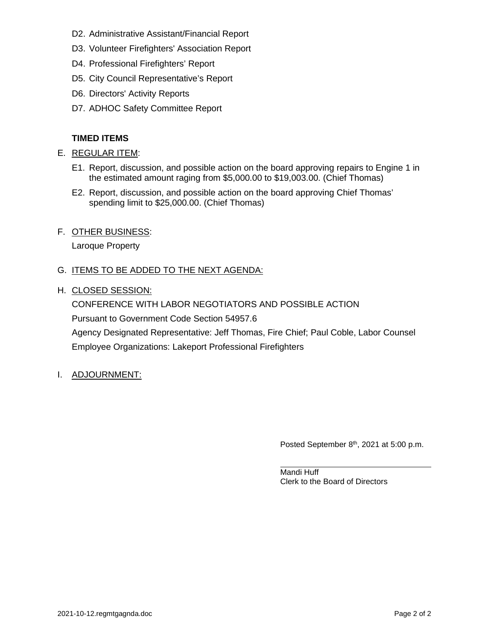- D2. Administrative Assistant/Financial Report
- D3. Volunteer Firefighters' Association Report
- D4. Professional Firefighters' Report
- D5. City Council Representative's Report
- D6. Directors' Activity Reports
- D7. ADHOC Safety Committee Report

#### **TIMED ITEMS**

- E. REGULAR ITEM:
	- E1. Report, discussion, and possible action on the board approving repairs to Engine 1 in the estimated amount raging from \$5,000.00 to \$19,003.00. (Chief Thomas)
	- E2. Report, discussion, and possible action on the board approving Chief Thomas' spending limit to \$25,000.00. (Chief Thomas)
- F. OTHER BUSINESS:

Laroque Property

#### G. ITEMS TO BE ADDED TO THE NEXT AGENDA:

H. CLOSED SESSION:

CONFERENCE WITH LABOR NEGOTIATORS AND POSSIBLE ACTION Pursuant to Government Code Section 54957.6 Agency Designated Representative: Jeff Thomas, Fire Chief; Paul Coble, Labor Counsel Employee Organizations: Lakeport Professional Firefighters

I. ADJOURNMENT:

Posted September 8<sup>th</sup>, 2021 at 5:00 p.m.

Mandi Huff Clerk to the Board of Directors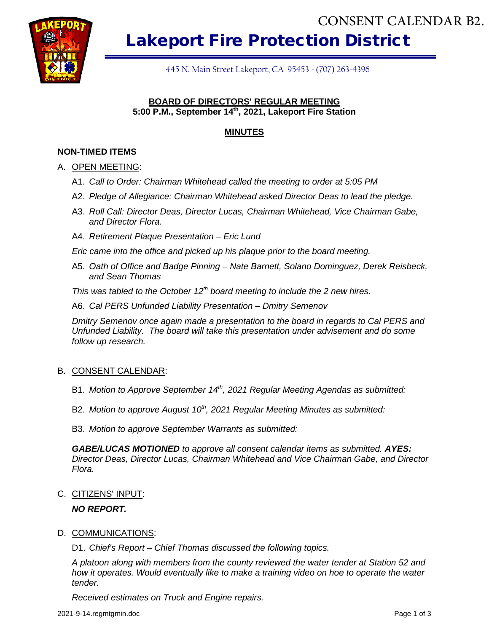

Lakeport Fire Protection District

445 N. Main Street Lakeport, CA 95453 - (707) 263-4396

#### **BOARD OF DIRECTORS' REGULAR MEETING 5:00 P.M., September 14th, 2021, Lakeport Fire Station**

#### **MINUTES**

#### **NON-TIMED ITEMS**

#### A. OPEN MEETING:

- A1. *Call to Order: Chairman Whitehead called the meeting to order at 5:05 PM*
- A2. *Pledge of Allegiance: Chairman Whitehead asked Director Deas to lead the pledge.*
- A3. *Roll Call: Director Deas, Director Lucas, Chairman Whitehead, Vice Chairman Gabe, and Director Flora.*
- A4. *Retirement Plaque Presentation – Eric Lund*

*Eric came into the office and picked up his plaque prior to the board meeting.*

A5. *Oath of Office and Badge Pinning – Nate Barnett, Solano Dominguez, Derek Reisbeck, and Sean Thomas*

*This was tabled to the October 12<sup>th</sup> board meeting to include the 2 new hires.* 

A6. *Cal PERS Unfunded Liability Presentation – Dmitry Semenov*

*Dmitry Semenov once again made a presentation to the board in regards to Cal PERS and Unfunded Liability. The board will take this presentation under advisement and do some follow up research.*

#### B. CONSENT CALENDAR:

- B1. *Motion to Approve September 14<sup>th</sup>, 2021 Regular Meeting Agendas as submitted:*
- B2. Motion to approve August 10<sup>th</sup>, 2021 Regular Meeting Minutes as submitted:

B3. *Motion to approve September Warrants as submitted:*

*GABE/LUCAS MOTIONED to approve all consent calendar items as submitted. AYES: Director Deas, Director Lucas, Chairman Whitehead and Vice Chairman Gabe, and Director Flora.*

C. CITIZENS' INPUT:

#### *NO REPORT.*

#### D. COMMUNICATIONS:

D1. *Chief's Report – Chief Thomas discussed the following topics.*

*A platoon along with members from the county reviewed the water tender at Station 52 and how it operates. Would eventually like to make a training video on hoe to operate the water tender.* **Received By The Control of the Control of the Conserved By the Conserved By the Conserved By the Conserved By the Conserved By the Conserved By the Conserved By the Conserved By the Conserved By the Conserved By the Conse**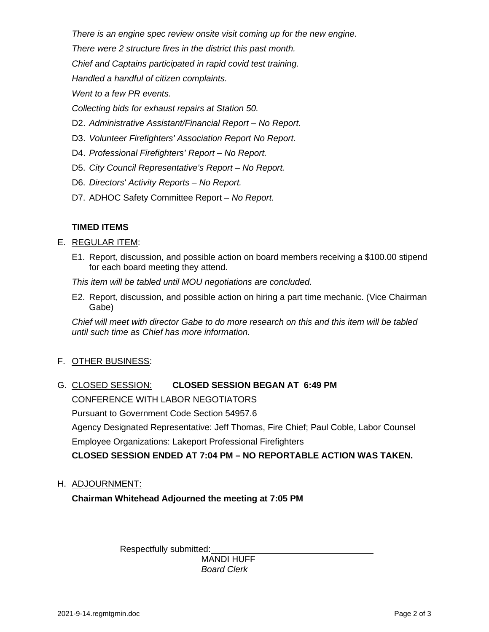*There is an engine spec review onsite visit coming up for the new engine.*

*There were 2 structure fires in the district this past month.*

*Chief and Captains participated in rapid covid test training.*

*Handled a handful of citizen complaints.*

*Went to a few PR events.*

*Collecting bids for exhaust repairs at Station 50.*

- D2. *Administrative Assistant/Financial Report – No Report.*
- D3. *Volunteer Firefighters' Association Report No Report.*
- D4. *Professional Firefighters' Report – No Report.*
- D5. *City Council Representative's Report – No Report.*
- D6. *Directors' Activity Reports – No Report.*
- D7. ADHOC Safety Committee Report *No Report.*

#### **TIMED ITEMS**

#### E. REGULAR ITEM:

E1. Report, discussion, and possible action on board members receiving a \$100.00 stipend for each board meeting they attend.

*This item will be tabled until MOU negotiations are concluded.*

E2. Report, discussion, and possible action on hiring a part time mechanic. (Vice Chairman Gabe)

*Chief will meet with director Gabe to do more research on this and this item will be tabled until such time as Chief has more information.*

F. OTHER BUSINESS:

# G. CLOSED SESSION: **CLOSED SESSION BEGAN AT 6:49 PM**

CONFERENCE WITH LABOR NEGOTIATORS

Pursuant to Government Code Section 54957.6

Agency Designated Representative: Jeff Thomas, Fire Chief; Paul Coble, Labor Counsel

Employee Organizations: Lakeport Professional Firefighters

**CLOSED SESSION ENDED AT 7:04 PM – NO REPORTABLE ACTION WAS TAKEN.**

H. ADJOURNMENT:

**Chairman Whitehead Adjourned the meeting at 7:05 PM**

Respectfully submitted:

MANDI HUFF *Board Clerk*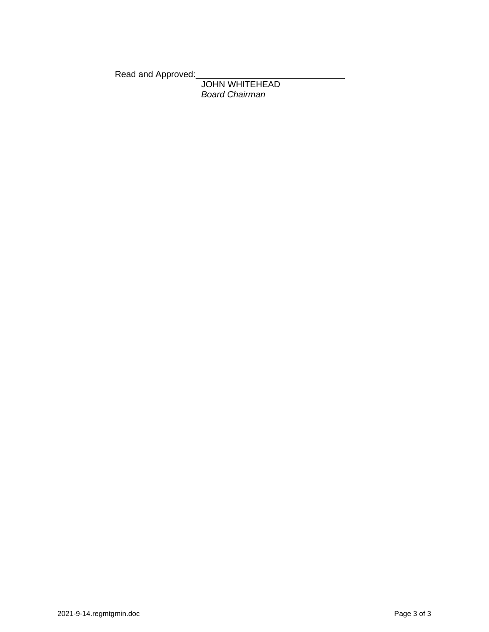Read and Approved:

JOHN WHITEHEAD *Board Chairman*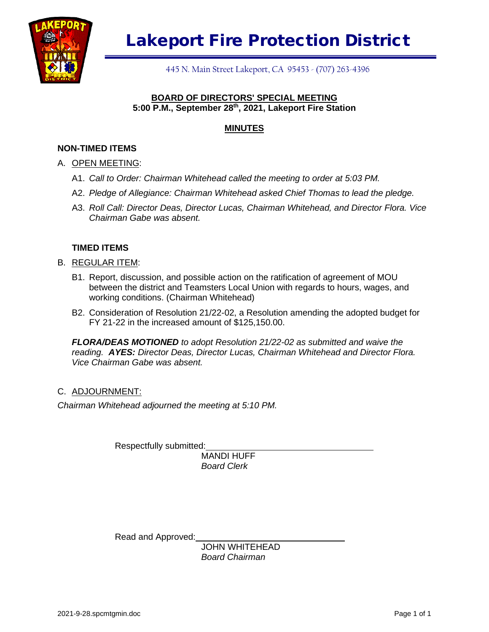

445 N. Main Street Lakeport, CA 95453 - (707) 263-4396

#### **BOARD OF DIRECTORS' SPECIAL MEETING 5:00 P.M., September 28th, 2021, Lakeport Fire Station**

#### **MINUTES**

#### **NON-TIMED ITEMS**

#### A. OPEN MEETING:

- A1. *Call to Order: Chairman Whitehead called the meeting to order at 5:03 PM.*
- A2. *Pledge of Allegiance: Chairman Whitehead asked Chief Thomas to lead the pledge.*
- A3. *Roll Call: Director Deas, Director Lucas, Chairman Whitehead, and Director Flora. Vice Chairman Gabe was absent.*

#### **TIMED ITEMS**

- B. REGULAR ITEM:
	- B1. Report, discussion, and possible action on the ratification of agreement of MOU between the district and Teamsters Local Union with regards to hours, wages, and working conditions. (Chairman Whitehead)
	- B2. Consideration of Resolution 21/22-02, a Resolution amending the adopted budget for FY 21-22 in the increased amount of \$125,150.00.

*FLORA/DEAS MOTIONED to adopt Resolution 21/22-02 as submitted and waive the reading. AYES: Director Deas, Director Lucas, Chairman Whitehead and Director Flora. Vice Chairman Gabe was absent.*

#### C. ADJOURNMENT:

*Chairman Whitehead adjourned the meeting at 5:10 PM.*

Respectfully submitted:

MANDI HUFF *Board Clerk*

Read and Approved:

JOHN WHITEHEAD *Board Chairman*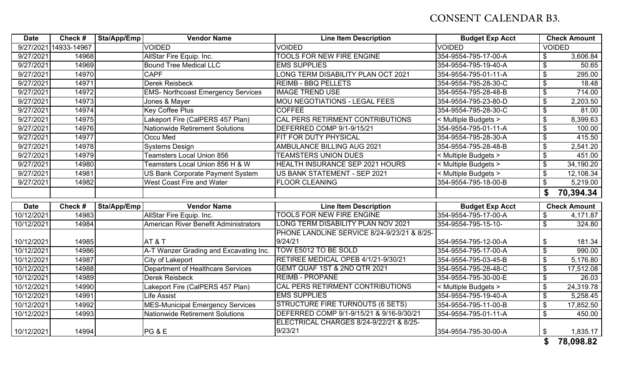# CONSENT CALENDAR B3.

| <b>Date</b> | Check #     | Sta/App/Emp | <b>Vendor Name</b>                        | <b>Line Item Description</b>                       | <b>Budget Exp Acct</b> |                            | <b>Check Amount</b> |
|-------------|-------------|-------------|-------------------------------------------|----------------------------------------------------|------------------------|----------------------------|---------------------|
| 9/27/2021   | 14933-14967 |             | <b>VOIDED</b>                             | <b>VOIDED</b>                                      | <b>VOIDED</b>          | <b>VOIDED</b>              |                     |
| 9/27/2021   | 14968       |             | AllStar Fire Equip. Inc.                  | <b>TOOLS FOR NEW FIRE ENGINE</b>                   | 354-9554-795-17-00-A   | $\mathfrak{F}$             | 3,606.84            |
| 9/27/2021   | 14969       |             | <b>Bound Tree Medical LLC</b>             | <b>EMS SUPPLIES</b>                                | 354-9554-795-19-40-A   | $\boldsymbol{\mathsf{\$}}$ | 50.65               |
| 9/27/2021   | 14970       |             | <b>CAPF</b>                               | ONG TERM DISABILITY PLAN OCT 2021                  | 354-9554-795-01-11-A   | \$                         | 295.00              |
| 9/27/2021   | 14971       |             | <b>Derek Reisbeck</b>                     | <b>REIMB - BBQ PELLETS</b>                         | 354-9554-795-28-30-C   | \$                         | 18.48               |
| 9/27/2021   | 14972       |             | <b>EMS- Northcoast Emergency Services</b> | <b>IMAGE TREND USE</b>                             | 354-9554-795-28-48-B   | $\mathfrak{F}$             | 714.00              |
| 9/27/2021   | 14973       |             | Jones & Mayer                             | <b>MOU NEGOTIATIONS - LEGAL FEES</b>               | 354-9554-795-23-80-D   | $\mathfrak{F}$             | 2,203.50            |
| 9/27/2021   | 14974       |             | <b>Key Coffee Plus</b>                    | <b>COFFEE</b>                                      | 354-9554-795-28-30-C   | $\boldsymbol{\mathsf{S}}$  | 81.00               |
| 9/27/2021   | 14975       |             | Lakeport Fire (CalPERS 457 Plan)          | CAL PERS RETIRMENT CONTRIBUTIONS                   | < Multiple Budgets >   | \$                         | 8,399.63            |
| 9/27/2021   | 14976       |             | Nationwide Retirement Solutions           | DEFERRED COMP 9/1-9/15/21                          | 354-9554-795-01-11-A   | $\mathfrak{F}$             | 100.00              |
| 9/27/2021   | 14977       |             | Occu Med                                  | FIT FOR DUTY PHYSICAL                              | 354-9554-795-28-30-A   | $\mathfrak{F}$             | 415.50              |
| 9/27/2021   | 14978       |             | <b>Systems Design</b>                     | <b>AMBULANCE BILLING AUG 2021</b>                  | 354-9554-795-28-48-B   | $\boldsymbol{\mathsf{S}}$  | 2,541.20            |
| 9/27/2021   | 14979       |             | Teamsters Local Union 856                 | <b>TEAMSTERS UNION DUES</b>                        | < Multiple Budgets >   | $\mathfrak{S}$             | 451.00              |
| 9/27/2021   | 14980       |             | Teamsters Local Union 856 H & W           | <b>HEALTH INSURANCE SEP 2021 HOURS</b>             | < Multiple Budgets >   | \$                         | 34,190.20           |
| 9/27/2021   | 14981       |             | US Bank Corporate Payment System          | <b>US BANK STATEMENT - SEP 2021</b>                | < Multiple Budgets >   | \$                         | 12,108.34           |
| 9/27/2021   | 14982       |             | <b>West Coast Fire and Water</b>          | <b>FLOOR CLEANING</b>                              | 354-9554-795-18-00-B   | $\mathfrak{L}$             | 5,219.00            |
|             |             |             |                                           |                                                    |                        | $\boldsymbol{\mathsf{s}}$  | 70,394.34           |
| <b>Date</b> | Check #     | Sta/App/Emp | <b>Vendor Name</b>                        | <b>Line Item Description</b>                       | <b>Budget Exp Acct</b> |                            | <b>Check Amount</b> |
| 10/12/2021  | 14983       |             | AllStar Fire Equip. Inc.                  | <b>TOOLS FOR NEW FIRE ENGINE</b>                   | 354-9554-795-17-00-A   | $\boldsymbol{\mathsf{S}}$  | 4,171.87            |
| 10/12/2021  | 14984       |             | American River Benefit Administrators     | LONG TERM DISABILITY PLAN NOV 2021                 | 354-9554-795-15-10-    | $\mathfrak{S}$             | 324.80              |
|             |             |             |                                           | PHONE LANDLINE SERVICE 8/24-9/23/21 & 8/25-        |                        |                            |                     |
| 10/12/2021  | 14985       |             | AT&T                                      | 9/24/21                                            | 354-9554-795-12-00-A   | \$                         | 181.34              |
| 10/12/2021  | 14986       |             | A-T Wanzer Grading and Excavating Inc.    | TOW E5012 TO BE SOLD                               | 354-9554-795-17-00-A   | $\mathfrak{S}$             | 990.00              |
| 10/12/2021  | 14987       |             | City of Lakeport                          | RETIREE MEDICAL OPEB 4/1/21-9/30/21                | 354-9554-795-03-45-B   | $\boldsymbol{\mathsf{s}}$  | 5,176.80            |
| 10/12/2021  | 14988       |             | Department of Healthcare Services         | GEMT QUAF 1ST & 2ND QTR 2021                       | 354-9554-795-28-48-C   | $\boldsymbol{\mathsf{S}}$  | 17,512.08           |
| 10/12/2021  | 14989       |             | <b>Derek Reisbeck</b>                     | <b>REIMB - PROPANE</b>                             | 354-9554-795-30-00-E   | $\boldsymbol{\mathsf{S}}$  | 26.03               |
| 10/12/2021  | 14990       |             | Lakeport Fire (CalPERS 457 Plan)          | CAL PERS RETIRMENT CONTRIBUTIONS                   | < Multiple Budgets >   | $\boldsymbol{\mathsf{s}}$  | 24,319.78           |
| 10/12/2021  | 14991       |             | <b>Life Assist</b>                        | <b>EMS SUPPLIES</b>                                | 354-9554-795-19-40-A   | \$                         | 5,258.45            |
| 10/12/2021  | 14992       |             | <b>MES-Municipal Emergency Services</b>   | <b>STRUCTURE FIRE TURNOUTS (6 SETS)</b>            | 354-9554-795-11-00-B   | $\boldsymbol{\mathsf{s}}$  | 17,852.50           |
| 10/12/2021  | 14993       |             | Nationwide Retirement Solutions           | DEFERRED COMP 9/1-9/15/21 & 9/16-9/30/21           | 354-9554-795-01-11-A   | $\boldsymbol{\mathsf{s}}$  | 450.00              |
| 10/12/2021  | 14994       |             | PG & E                                    | ELECTRICAL CHARGES 8/24-9/22/21 & 8/25-<br>9/23/21 | 354-9554-795-30-00-A   | \$                         | 1,835.17            |

**\$ 78,098.82**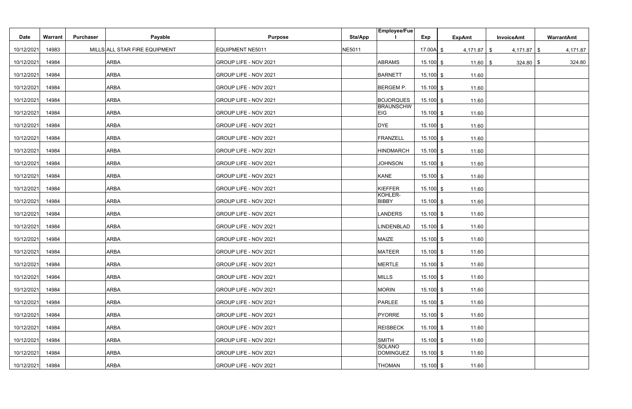|             |                |                  |                               |                         |               | <b>Employee/Fue</b>               |             |               |                   |            |
|-------------|----------------|------------------|-------------------------------|-------------------------|---------------|-----------------------------------|-------------|---------------|-------------------|------------|
| <b>Date</b> | <b>Warrant</b> | <b>Purchaser</b> | Payable                       | <b>Purpose</b>          | Sta/App       |                                   | Exp         | <b>ExpAmt</b> | <b>InvoiceAmt</b> | WarrantAmt |
| 10/12/2021  | 14983          |                  | MILLS ALL STAR FIRE EQUIPMENT | <b>EQUIPMENT NE5011</b> | <b>NE5011</b> |                                   | 17.00A $$$  | $4,171.87$ \$ | $4,171.87$ \$     | 4,171.87   |
| 10/12/2021  | 14984          |                  | <b>ARBA</b>                   | GROUP LIFE - NOV 2021   |               | <b>ABRAMS</b>                     | $15.100$ \$ | $11.60$   \$  | $324.80$ \ \$     | 324.80     |
| 10/12/2021  | 14984          |                  | <b>ARBA</b>                   | GROUP LIFE - NOV 2021   |               | <b>BARNETT</b>                    | $15.100$ \$ | 11.60         |                   |            |
| 10/12/2021  | 14984          |                  | <b>ARBA</b>                   | GROUP LIFE - NOV 2021   |               | <b>BERGEM P.</b>                  | $15.100$ \$ | 11.60         |                   |            |
| 10/12/2021  | 14984          |                  | <b>ARBA</b>                   | GROUP LIFE - NOV 2021   |               | <b>BOJORQUES</b>                  | $15.100$ \$ | 11.60         |                   |            |
| 10/12/2021  | 14984          |                  | <b>ARBA</b>                   | GROUP LIFE - NOV 2021   |               | <b>BRAUNSCHW</b><br><b>EIG</b>    | $15.100$ \$ | 11.60         |                   |            |
| 10/12/2021  | 14984          |                  | <b>ARBA</b>                   | GROUP LIFE - NOV 2021   |               | <b>DYE</b>                        | $15.100$ \$ | 11.60         |                   |            |
| 10/12/2021  | 14984          |                  | <b>ARBA</b>                   | GROUP LIFE - NOV 2021   |               | <b>FRANZELL</b>                   | $15.100$ \$ | 11.60         |                   |            |
| 10/12/2021  | 14984          |                  | <b>ARBA</b>                   | GROUP LIFE - NOV 2021   |               | <b>HINDMARCH</b>                  | $15.100$ \$ | 11.60         |                   |            |
| 10/12/2021  | 14984          |                  | <b>ARBA</b>                   | GROUP LIFE - NOV 2021   |               | <b>JOHNSON</b>                    | $15.100$ \$ | 11.60         |                   |            |
| 10/12/2021  | 14984          |                  | <b>ARBA</b>                   | GROUP LIFE - NOV 2021   |               | <b>KANE</b>                       | $15.100$ \$ | 11.60         |                   |            |
| 10/12/2021  | 14984          |                  | <b>ARBA</b>                   | GROUP LIFE - NOV 2021   |               | KIEFFER                           | $15.100$ \$ | 11.60         |                   |            |
| 10/12/2021  | 14984          |                  | <b>ARBA</b>                   | GROUP LIFE - NOV 2021   |               | KOHLER-<br><b>BIBBY</b>           | $15.100$ \$ | 11.60         |                   |            |
| 10/12/2021  | 14984          |                  | <b>ARBA</b>                   | GROUP LIFE - NOV 2021   |               | <b>LANDERS</b>                    | $15.100$ \$ | 11.60         |                   |            |
| 10/12/2021  | 14984          |                  | <b>ARBA</b>                   | GROUP LIFE - NOV 2021   |               | LINDENBLAD                        | $15.100$ \$ | 11.60         |                   |            |
| 10/12/2021  | 14984          |                  | <b>ARBA</b>                   | GROUP LIFE - NOV 2021   |               | <b>MAIZE</b>                      | $15.100$ \$ | 11.60         |                   |            |
| 10/12/2021  | 14984          |                  | <b>ARBA</b>                   | GROUP LIFE - NOV 2021   |               | <b>MATEER</b>                     | $15.100$ \$ | 11.60         |                   |            |
| 10/12/2021  | 14984          |                  | <b>ARBA</b>                   | GROUP LIFE - NOV 2021   |               | <b>MERTLE</b>                     | $15.100$ \$ | 11.60         |                   |            |
| 10/12/2021  | 14984          |                  | <b>ARBA</b>                   | GROUP LIFE - NOV 2021   |               | <b>MILLS</b>                      | $15.100$ \$ | 11.60         |                   |            |
| 10/12/2021  | 14984          |                  | <b>ARBA</b>                   | GROUP LIFE - NOV 2021   |               | <b>MORIN</b>                      | $15.100$ \$ | 11.60         |                   |            |
| 10/12/2021  | 14984          |                  | <b>ARBA</b>                   | GROUP LIFE - NOV 2021   |               | <b>PARLEE</b>                     | $15.100$ \$ | 11.60         |                   |            |
| 10/12/2021  | 14984          |                  | <b>ARBA</b>                   | GROUP LIFE - NOV 2021   |               | PYORRE                            | $15.100$ \$ | 11.60         |                   |            |
| 10/12/2021  | 14984          |                  | <b>ARBA</b>                   | GROUP LIFE - NOV 2021   |               | <b>REISBECK</b>                   | $15.100$ \$ | 11.60         |                   |            |
| 10/12/2021  | 14984          |                  | <b>ARBA</b>                   | GROUP LIFE - NOV 2021   |               | <b>SMITH</b>                      | $15.100$ \$ | 11.60         |                   |            |
| 10/12/2021  | 14984          |                  | <b>ARBA</b>                   | GROUP LIFE - NOV 2021   |               | <b>SOLANO</b><br><b>DOMINGUEZ</b> | $15.100$ \$ | 11.60         |                   |            |
| 10/12/2021  | 14984          |                  | <b>ARBA</b>                   | GROUP LIFE - NOV 2021   |               | <b>THOMAN</b>                     | $15.100$ \$ | 11.60         |                   |            |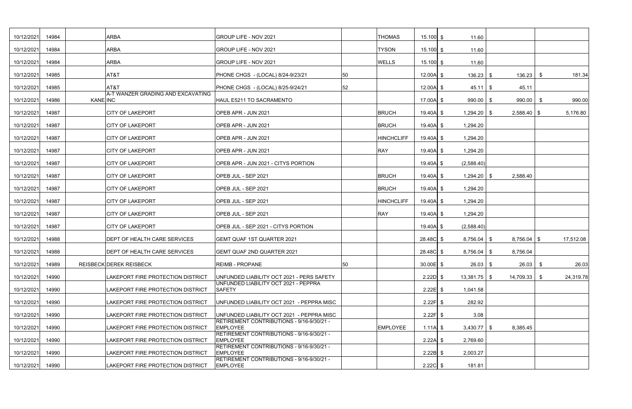| 10/12/2021 | 14984 |          | <b>ARBA</b>                         | GROUP LIFE - NOV 2021                                        |    | <b>THOMAS</b>     | $15.100$ \$ | 11.60          |                     |           |        |
|------------|-------|----------|-------------------------------------|--------------------------------------------------------------|----|-------------------|-------------|----------------|---------------------|-----------|--------|
| 10/12/2021 | 14984 |          | <b>ARBA</b>                         | GROUP LIFE - NOV 2021                                        |    | <b>TYSON</b>      | $15.100$ \$ | 11.60          |                     |           |        |
| 10/12/2021 | 14984 |          | <b>ARBA</b>                         | <b>GROUP LIFE - NOV 2021</b>                                 |    | <b>WELLS</b>      | $15.100$ \$ | 11.60          |                     |           |        |
| 10/12/2021 | 14985 |          | AT&T                                | PHONE CHGS - (LOCAL) 8/24-9/23/21                            | 50 |                   | $12.00A$ \$ | $136.23$ \$    | 136.23              | -S        | 181.34 |
| 10/12/2021 | 14985 |          | AT&T                                | PHONE CHGS - (LOCAL) 8/25-9/24/21                            | 52 |                   | $12.00A$ \$ | $45.11$ \\$    | 45.11               |           |        |
| 10/12/2021 | 14986 | KANE INC | A-T WANZER GRADING AND EXCAVATING   | HAUL E5211 TO SACRAMENTO                                     |    |                   | 17.00A $$$  | $990.00$ \$    | 990.00              | -S        | 990.00 |
| 10/12/2021 | 14987 |          | <b>CITY OF LAKEPORT</b>             | OPEB APR - JUN 2021                                          |    | <b>BRUCH</b>      | $19.40A$ \$ | 1,294.20       | $2,588.40$ \$<br>-S | 5,176.80  |        |
| 10/12/2021 | 14987 |          | <b>CITY OF LAKEPORT</b>             | OPEB APR - JUN 2021                                          |    | <b>BRUCH</b>      | $19.40A$ \$ | 1,294.20       |                     |           |        |
| 10/12/2021 | 14987 |          | <b>CITY OF LAKEPORT</b>             | OPEB APR - JUN 2021                                          |    | <b>HINCHCLIFF</b> | $19.40A$ \$ | 1,294.20       |                     |           |        |
| 10/12/2021 | 14987 |          | <b>CITY OF LAKEPORT</b>             | OPEB APR - JUN 2021                                          |    | <b>RAY</b>        | $19.40A$ \$ | 1,294.20       |                     |           |        |
| 10/12/2021 | 14987 |          | <b>CITY OF LAKEPORT</b>             | OPEB APR - JUN 2021 - CITYS PORTION                          |    |                   | $19.40A$ \$ | (2,588.40)     |                     |           |        |
| 10/12/2021 | 14987 |          | <b>CITY OF LAKEPORT</b>             | OPEB JUL - SEP 2021                                          |    | <b>BRUCH</b>      | $19.40A$ \$ | 1,294.20       | 2,588.40<br>-S      |           |        |
| 10/12/2021 | 14987 |          | <b>CITY OF LAKEPORT</b>             | OPEB JUL - SEP 2021                                          |    | <b>BRUCH</b>      | $19.40A$ \$ | 1,294.20       |                     |           |        |
| 10/12/2021 | 14987 |          | <b>CITY OF LAKEPORT</b>             | OPEB JUL - SEP 2021                                          |    | <b>HINCHCLIFF</b> | $19.40A$ \$ | 1,294.20       |                     |           |        |
| 10/12/2021 | 14987 |          | <b>CITY OF LAKEPORT</b>             | OPEB JUL - SEP 2021                                          |    | <b>RAY</b>        | $19.40A$ \$ | 1,294.20       |                     |           |        |
| 10/12/2021 | 14987 |          | <b>CITY OF LAKEPORT</b>             | OPEB JUL - SEP 2021 - CITYS PORTION                          |    |                   | $19.40A$ \$ | (2,588.40)     |                     |           |        |
| 10/12/2021 | 14988 |          | <b>DEPT OF HEALTH CARE SERVICES</b> | <b>GEMT QUAF 1ST QUARTER 2021</b>                            |    |                   | $28.48C$ \$ | $8,756.04$ \$  | $8,756.04$ \$       | 17,512.08 |        |
| 10/12/2021 | 14988 |          | <b>DEPT OF HEALTH CARE SERVICES</b> | <b>GEMT QUAF 2ND QUARTER 2021</b>                            |    |                   | $28.48C$ \$ | $8,756.04$ \$  | 8,756.04            |           |        |
| 10/12/2021 | 14989 |          | REISBECK DEREK REISBECK             | <b>REIMB - PROPANE</b>                                       | 50 |                   | $30.00E$ \$ | $26.03$ \$     | $26.03$ \$          |           | 26.03  |
| 10/12/2021 | 14990 |          | LAKEPORT FIRE PROTECTION DISTRICT   | UNFUNDED LIABILITY OCT 2021 - PERS SAFETY                    |    |                   | $2.22D$ \$  | $13,381.75$ \$ | $14,709.33$ \$      | 24,319.78 |        |
| 10/12/2021 | 14990 |          | LAKEPORT FIRE PROTECTION DISTRICT   | UNFUNDED LIABILITY OCT 2021 - PEPPRA<br><b>SAFETY</b>        |    |                   | $2.22E$ \$  | 1,041.58       |                     |           |        |
| 10/12/2021 | 14990 |          | LAKEPORT FIRE PROTECTION DISTRICT   | UNFUNDED LIABILITY OCT 2021 - PEPPRA MISC                    |    |                   | $2.22F$ \$  | 282.92         |                     |           |        |
| 10/12/2021 | 14990 |          | LAKEPORT FIRE PROTECTION DISTRICT   | UNFUNDED LIABILITY OCT 2021 - PEPPRA MISC                    |    |                   | $2.22F$ \$  | 3.08           |                     |           |        |
| 10/12/2021 | 14990 |          | LAKEPORT FIRE PROTECTION DISTRICT   | RETIREMENT CONTRIBUTIONS - 9/16-9/30/21 -<br><b>EMPLOYEE</b> |    | <b>EMPLOYEE</b>   | $1.11A$ \$  | $3,430.77$ \$  | 8,385.45            |           |        |
| 10/12/2021 | 14990 |          | LAKEPORT FIRE PROTECTION DISTRICT   | RETIREMENT CONTRIBUTIONS - 9/16-9/30/21 -<br><b>EMPLOYEE</b> |    |                   | $2.22A$ \$  | 2,769.60       |                     |           |        |
| 10/12/2021 | 14990 |          | LAKEPORT FIRE PROTECTION DISTRICT   | RETIREMENT CONTRIBUTIONS - 9/16-9/30/21 -<br><b>EMPLOYEE</b> |    |                   | $2.22B$ \$  | 2,003.27       |                     |           |        |
| 10/12/2021 | 14990 |          | LAKEPORT FIRE PROTECTION DISTRICT   | RETIREMENT CONTRIBUTIONS - 9/16-9/30/21 -<br><b>EMPLOYEE</b> |    |                   | $2.22C$ \$  | 181.81         |                     |           |        |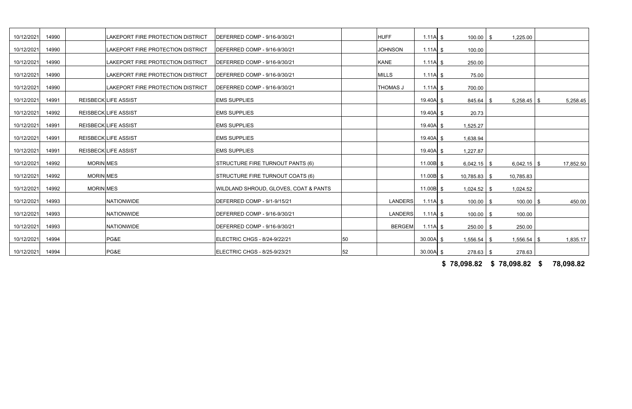| 10/12/2021 | 14990 |           | LAKEPORT FIRE PROTECTION DISTRICT | DEFERRED COMP - 9/16-9/30/21          |    | <b>HUFF</b>     | $1.11A$ \$  | 100.00         | 1,225.00<br>- \$      |           |
|------------|-------|-----------|-----------------------------------|---------------------------------------|----|-----------------|-------------|----------------|-----------------------|-----------|
| 10/12/2021 | 14990 |           | LAKEPORT FIRE PROTECTION DISTRICT | DEFERRED COMP - 9/16-9/30/21          |    | <b>JOHNSON</b>  | $1.11A$ \$  | 100.00         |                       |           |
| 10/12/2021 | 14990 |           | LAKEPORT FIRE PROTECTION DISTRICT | DEFERRED COMP - 9/16-9/30/21          |    | <b>KANE</b>     | $1.11A$ \$  | 250.00         |                       |           |
| 10/12/2021 | 14990 |           | LAKEPORT FIRE PROTECTION DISTRICT | DEFERRED COMP - 9/16-9/30/21          |    | <b>MILLS</b>    | $1.11A$ \$  | 75.00          |                       |           |
| 10/12/2021 | 14990 |           | LAKEPORT FIRE PROTECTION DISTRICT | DEFERRED COMP - 9/16-9/30/21          |    | <b>THOMAS J</b> | $1.11A$ \$  | 700.00         |                       |           |
| 10/12/2021 | 14991 |           | <b>REISBECKLIFE ASSIST</b>        | <b>EMS SUPPLIES</b>                   |    |                 | $19.40A$ \$ | 845.64         | $5,258.45$ \$<br>- \$ | 5,258.45  |
| 10/12/2021 | 14992 |           | <b>REISBECKLIFE ASSIST</b>        | <b>EMS SUPPLIES</b>                   |    |                 | $19.40A$ \$ | 20.73          |                       |           |
| 10/12/2021 | 14991 |           | <b>REISBECKLIFE ASSIST</b>        | <b>EMS SUPPLIES</b>                   |    |                 | $19.40A$ \$ | 1,525.27       |                       |           |
| 10/12/2021 | 14991 |           | <b>REISBECKLIFE ASSIST</b>        | <b>EMS SUPPLIES</b>                   |    |                 | $19.40A$ \$ | 1,638.94       |                       |           |
| 10/12/2021 | 14991 |           | <b>REISBECKLIFE ASSIST</b>        | <b>EMS SUPPLIES</b>                   |    |                 | $19.40A$ \$ | 1,227.87       |                       |           |
| 10/12/2021 | 14992 | MORIN MES |                                   | STRUCTURE FIRE TURNOUT PANTS (6)      |    |                 | 11.00B $$$  | $6,042.15$ \$  | $6,042.15$ \$         | 17,852.50 |
| 10/12/2021 | 14992 | MORIN MES |                                   | STRUCTURE FIRE TURNOUT COATS (6)      |    |                 | 11.00B $$$  | $10,785.83$ \$ | 10,785.83             |           |
| 10/12/2021 | 14992 | MORIN MES |                                   | WILDLAND SHROUD, GLOVES, COAT & PANTS |    |                 | 11.00B $$$  | $1,024.52$ \$  | 1,024.52              |           |
| 10/12/2021 | 14993 |           | <b>NATIONWIDE</b>                 | DEFERRED COMP - 9/1-9/15/21           |    | <b>LANDERS</b>  | $1.11A$ \$  | $100.00$ \$    | $100.00$ \$           | 450.00    |
| 10/12/2021 | 14993 |           | <b>NATIONWIDE</b>                 | DEFERRED COMP - 9/16-9/30/21          |    | <b>LANDERS</b>  | $1.11A$ \$  | 100.00         | 100.00                |           |
|            |       |           |                                   |                                       |    |                 |             |                | -\$                   |           |
| 10/12/2021 | 14993 |           | NATIONWIDE                        | DEFERRED COMP - 9/16-9/30/21          |    | <b>BERGEM</b>   | $1.11A$ \$  | $250.00$ \ \$  | 250.00                |           |
| 10/12/2021 | 14994 |           | PG&E                              | ELECTRIC CHGS - 8/24-9/22/21          | 50 |                 | $30.00A$ \$ | $1,556.54$ \$  | $1,556.54$ \$         | 1,835.17  |
| 10/12/2021 | 14994 |           | PG&E                              | ELECTRIC CHGS - 8/25-9/23/21          | 52 |                 | $30.00A$ \$ | $278.63$ \$    | 278.63                |           |

**\$ 78,098.82 78,098.82 \$ 78,098.82 \$**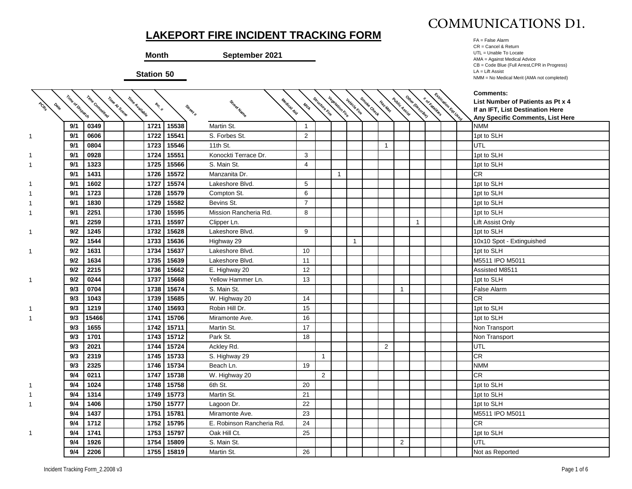

|                  |                | <b>Month</b><br><b>Station 50</b> | <b>LAKEPORT FIRE INCIDENT TRACKING FORM</b><br>September 2021 |                    |                        |                        |                     |            |              |                |             |            | FA = False Alarm<br>CR = Cancel & Return<br>UTL = Unable To Locate<br>AMA = Against Medical Advice<br>CB = Code Blue (Full Arrest, CPR in Progress)<br>$LA = Lift$ Assist<br>NMM = No Medical Merit (AMA not completed) |
|------------------|----------------|-----------------------------------|---------------------------------------------------------------|--------------------|------------------------|------------------------|---------------------|------------|--------------|----------------|-------------|------------|-------------------------------------------------------------------------------------------------------------------------------------------------------------------------------------------------------------------------|
| Time of Dispatch | Time Committed | Time Available<br>Inc. #          | Street Name<br>Street #                                       | Medical Aid<br>MVA | <sup>fcture Rire</sup> | <b>Vegetation Fire</b> | <b>Vehicle Fire</b> | "Oke Check | Haz.Mat      | Public Assist  |             | I Eqt Used | <b>Comments:</b><br>List Number of Patients as Pt x 4<br>If an IFT, List Destination Here<br>Any Specific Comments, List Here                                                                                           |
| 9/1              | 0349           | 1721                              | 15538<br>Martin St.                                           | $\overline{1}$     |                        |                        |                     |            |              |                |             |            | <b>NMM</b>                                                                                                                                                                                                              |
| 9/1              | 0606           | 1722                              | 15541<br>S. Forbes St.                                        | $\overline{2}$     |                        |                        |                     |            |              |                |             |            | 1pt to SLH                                                                                                                                                                                                              |
| 9/1              | 0804           | 1723                              | 15546<br>11th St.                                             |                    |                        |                        |                     |            | $\mathbf{1}$ |                |             |            | UTL                                                                                                                                                                                                                     |
| 9/1              | 0928           | 1724                              | 15551<br>Konockti Terrace Dr.                                 | 3                  |                        |                        |                     |            |              |                |             |            | 1pt to SLH                                                                                                                                                                                                              |
| 9/1              | 1323           | 1725                              | 15566<br>S. Main St.                                          | 4                  |                        |                        |                     |            |              |                |             |            | 1pt to SLH                                                                                                                                                                                                              |
| 9/1              | 1431           | 1726                              | 15572<br>Manzanita Dr.                                        |                    |                        | 1                      |                     |            |              |                |             |            | CR                                                                                                                                                                                                                      |
| 9/1              | 1602           | 1727                              | 15574<br>Lakeshore Blvd.                                      | 5                  |                        |                        |                     |            |              |                |             |            | 1pt to SLH                                                                                                                                                                                                              |
| 9/1              | 1723           | 1728                              | 15579<br>Compton St.                                          | 6                  |                        |                        |                     |            |              |                |             |            | 1pt to SLH                                                                                                                                                                                                              |
| 9/1              | 1830           | 1729                              | 15582<br>Bevins St.                                           | $\overline{7}$     |                        |                        |                     |            |              |                |             |            | 1pt to SLH                                                                                                                                                                                                              |
| 9/1              | 2251<br>2259   | 1730                              | 15595<br>Mission Rancheria Rd.<br>15597                       | 8                  |                        |                        |                     |            |              |                |             |            | 1pt to SLH                                                                                                                                                                                                              |
| 9/1              | 1245           | 1731<br>1732                      | Clipper Ln.<br>15628<br>Lakeshore Blvd.                       | 9                  |                        |                        |                     |            |              |                | $\mathbf 1$ |            | Lift Assist Only                                                                                                                                                                                                        |
| 9/2<br>9/2       | 1544           | 1733                              | 15636                                                         |                    |                        |                        |                     |            |              |                |             |            | 1pt to SLH                                                                                                                                                                                                              |
| 9/2              | 1631           | 1734                              | Highway 29<br>15637<br>Lakeshore Blvd.                        | 10                 |                        |                        | 1                   |            |              |                |             |            | 10x10 Spot - Extinguished<br>1pt to SLH                                                                                                                                                                                 |
| 9/2              | 1634           | 1735                              | 15639<br>Lakeshore Blvd.                                      | 11                 |                        |                        |                     |            |              |                |             |            | M5511 IPO M5011                                                                                                                                                                                                         |
| 9/2              | 2215           | 1736                              | 15662<br>E. Highway 20                                        | 12                 |                        |                        |                     |            |              |                |             |            | Assisted M8511                                                                                                                                                                                                          |
| 9/2              | 0244           | 1737                              | 15668<br>Yellow Hammer Ln.                                    | 13                 |                        |                        |                     |            |              |                |             |            | 1pt to SLH                                                                                                                                                                                                              |
| 9/3              | 0704           | 1738                              | 15674<br>S. Main St.                                          |                    |                        |                        |                     |            |              | $\mathbf{1}$   |             |            | False Alarm                                                                                                                                                                                                             |
| 9/3              | 1043           | 1739                              | 15685<br>W. Highway 20                                        | 14                 |                        |                        |                     |            |              |                |             |            | <b>CR</b>                                                                                                                                                                                                               |
| 9/3              | 1219           | 1740                              | 15693<br>Robin Hill Dr.                                       | 15                 |                        |                        |                     |            |              |                |             |            | 1pt to SLH                                                                                                                                                                                                              |
| 9/3              | 15466          | 1741                              | 15706<br>Miramonte Ave.                                       | 16                 |                        |                        |                     |            |              |                |             |            | 1pt to SLH                                                                                                                                                                                                              |
| 9/3              | 1655           | 1742                              | 15711<br>Martin St.                                           | 17                 |                        |                        |                     |            |              |                |             |            | Non Transport                                                                                                                                                                                                           |
| 9/3              | 1701           | 1743                              | 15712<br>Park St.                                             | 18                 |                        |                        |                     |            |              |                |             |            | Non Transport                                                                                                                                                                                                           |
| 9/3              | 2021           | 1744                              | 15724<br>Ackley Rd.                                           |                    |                        |                        |                     |            | 2            |                |             |            | UTL                                                                                                                                                                                                                     |
| 9/3              | 2319           | 1745                              | 15733<br>S. Highway 29                                        |                    | $\mathbf{1}$           |                        |                     |            |              |                |             |            | <b>CR</b>                                                                                                                                                                                                               |
| 9/3              | 2325           | 1746                              | 15734<br>Beach Ln.                                            | 19                 |                        |                        |                     |            |              |                |             |            | <b>NMM</b>                                                                                                                                                                                                              |
| 9/4              | 0211           | 1747 15738                        | W. Highway 20                                                 |                    | $\overline{2}$         |                        |                     |            |              |                |             |            | <b>CR</b>                                                                                                                                                                                                               |
| 9/4              | 1024           | 1748 15758                        | 6th St.                                                       | 20                 |                        |                        |                     |            |              |                |             |            | 1pt to SLH                                                                                                                                                                                                              |
| 9/4              | 1314           | 1749 15773                        | Martin St.                                                    | 21                 |                        |                        |                     |            |              |                |             |            | 1pt to SLH                                                                                                                                                                                                              |
| 9/4              | 1406           | 1750 15777                        | Lagoon Dr.                                                    | 22                 |                        |                        |                     |            |              |                |             |            | 1pt to SLH                                                                                                                                                                                                              |
| 9/4              | 1437           | 1751 15781                        | Miramonte Ave.                                                | 23                 |                        |                        |                     |            |              |                |             |            | M5511 IPO M5011                                                                                                                                                                                                         |
| 9/4              | 1712           | 1752 15795                        | E. Robinson Rancheria Rd.                                     | 24                 |                        |                        |                     |            |              |                |             |            | <b>CR</b>                                                                                                                                                                                                               |
| 9/4              | 1741           | 1753 15797                        | Oak Hill Ct.                                                  | 25                 |                        |                        |                     |            |              |                |             |            | 1pt to SLH                                                                                                                                                                                                              |
| 9/4              | 1926           | 1754 15809                        | S. Main St.                                                   |                    |                        |                        |                     |            |              | $\overline{2}$ |             |            | <b>UTL</b>                                                                                                                                                                                                              |
| 9/4              | 2206           | 1755 15819                        | Martin St.                                                    | 26                 |                        |                        |                     |            |              |                |             |            | Not as Reported                                                                                                                                                                                                         |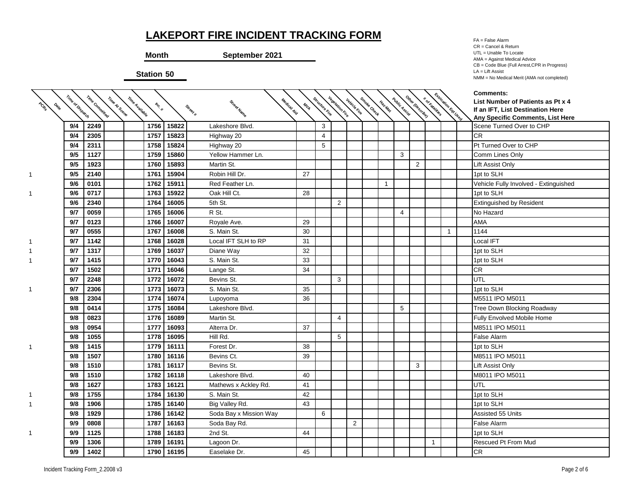**Month September 2021**

**Station 50**

FA = False Alarm CR = Cancel & Return UTL = Unable To Locate AMA = Against Medical Advice CB = Code Blue (Full Arrest,CPR in Progress) LA = Lift Assist NMM = No Medical Merit (AMA not completed)

| PORT<br><b>Oslo</b> | Time of Dispatch | Time Committed | Time At Scene<br>Time Avallable | Inc. # |       | Medical Aid<br>Street Name<br>Street # | MIN | Structure Fire | <b>Vegetation Fire</b> | Vehicle Fire   | Smoke Check | Haz.Mat      | Public Assist  | Other (Describe) |              | I Eqt Used     | <b>Comments:</b><br>List Number of Patients as Pt x 4<br>If an IFT, List Destination Here |
|---------------------|------------------|----------------|---------------------------------|--------|-------|----------------------------------------|-----|----------------|------------------------|----------------|-------------|--------------|----------------|------------------|--------------|----------------|-------------------------------------------------------------------------------------------|
|                     |                  |                |                                 |        |       |                                        |     |                |                        |                |             |              |                |                  |              |                | Any Specific Comments, List Here                                                          |
|                     | 9/4              | 2249           |                                 | 1756   | 15822 | Lakeshore Blvd.                        |     | 3              |                        |                |             |              |                |                  |              |                | Scene Turned Over to CHP                                                                  |
|                     | 9/4              | 2305           |                                 | 1757   | 15823 | Highway 20                             |     | 4              |                        |                |             |              |                |                  |              |                | <b>CR</b>                                                                                 |
|                     | 9/4              | 2311           |                                 | 1758   | 15824 | Highway 20                             |     | 5              |                        |                |             |              |                |                  |              |                | Pt Turned Over to CHP                                                                     |
|                     | 9/5              | 1127           |                                 | 1759   | 15860 | Yellow Hammer Ln.                      |     |                |                        |                |             |              | 3              |                  |              |                | Comm Lines Only                                                                           |
|                     | 9/5              | 1923           |                                 | 1760   | 15893 | Martin St.                             |     |                |                        |                |             |              |                | $\overline{2}$   |              |                | Lift Assist Only                                                                          |
|                     | 9/5              | 2140           |                                 | 1761   | 15904 | Robin Hill Dr.                         | 27  |                |                        |                |             |              |                |                  |              |                | 1pt to SLH                                                                                |
|                     | 9/6              | 0101           |                                 | 1762   | 15911 | Red Feather Ln.                        |     |                |                        |                |             | $\mathbf{1}$ |                |                  |              |                | Vehicle Fully Involved - Extinguished                                                     |
|                     | 9/6              | 0717           |                                 | 1763   | 15922 | Oak Hill Ct.                           | 28  |                |                        |                |             |              |                |                  |              |                | 1pt to SLH                                                                                |
|                     | 9/6              | 2340           |                                 | 1764   | 16005 | 5th St.                                |     |                | 2                      |                |             |              |                |                  |              |                | Extinguished by Resident                                                                  |
|                     | 9/7              | 0059           |                                 | 1765   | 16006 | R St.                                  |     |                |                        |                |             |              | $\overline{4}$ |                  |              |                | No Hazard                                                                                 |
|                     | 9/7              | 0123           |                                 | 1766   | 16007 | Royale Ave.                            | 29  |                |                        |                |             |              |                |                  |              |                | <b>AMA</b>                                                                                |
|                     | 9/7              | 0555           |                                 | 1767   | 16008 | S. Main St.                            | 30  |                |                        |                |             |              |                |                  |              | $\overline{1}$ | 1144                                                                                      |
|                     | 9/7              | 1142           |                                 | 1768   | 16028 | Local IFT SLH to RP                    | 31  |                |                        |                |             |              |                |                  |              |                | Local IFT                                                                                 |
|                     | 9/7              | 1317           |                                 | 1769   | 16037 | Diane Way                              | 32  |                |                        |                |             |              |                |                  |              |                | 1pt to SLH                                                                                |
|                     | 9/7              | 1415           |                                 | 1770   | 16043 | S. Main St.                            | 33  |                |                        |                |             |              |                |                  |              |                | 1pt to SLH                                                                                |
|                     | 9/7              | 1502           |                                 | 1771   | 16046 | Lange St.                              | 34  |                |                        |                |             |              |                |                  |              |                | <b>CR</b>                                                                                 |
|                     | 9/7              | 2248           |                                 | 1772   | 16072 | Bevins St.                             |     |                | 3                      |                |             |              |                |                  |              |                | UTL                                                                                       |
| 1.                  | 9/7              | 2306           |                                 | 1773   | 16073 | S. Main St.                            | 35  |                |                        |                |             |              |                |                  |              |                | 1pt to SLH                                                                                |
|                     | 9/8              | 2304           |                                 | 1774   | 16074 | Lupoyoma                               | 36  |                |                        |                |             |              |                |                  |              |                | M5511 IPO M5011                                                                           |
|                     | 9/8              | 0414           |                                 | 1775   | 16084 | Lakeshore Blvd.                        |     |                |                        |                |             |              | 5              |                  |              |                | Tree Down Blocking Roadway                                                                |
|                     | 9/8              | 0823           |                                 | 1776   | 16089 | Martin St.                             |     |                | $\overline{4}$         |                |             |              |                |                  |              |                | <b>Fully Envolved Mobile Home</b>                                                         |
|                     | 9/8              | 0954           |                                 | 1777   | 16093 | Alterra Dr.                            | 37  |                |                        |                |             |              |                |                  |              |                | M8511 IPO M5011                                                                           |
|                     | 9/8              | 1055           |                                 | 1778   | 16095 | Hill Rd.                               |     |                | 5                      |                |             |              |                |                  |              |                | False Alarm                                                                               |
|                     | 9/8              | 1415           |                                 | 1779   | 16111 | Forest Dr.                             | 38  |                |                        |                |             |              |                |                  |              |                | 1pt to SLH                                                                                |
|                     | 9/8              | 1507           |                                 | 1780   | 16116 | Bevins Ct.                             | 39  |                |                        |                |             |              |                |                  |              |                | M8511 IPO M5011                                                                           |
|                     | 9/8              | 1510           |                                 | 1781   | 16117 | Bevins St.                             |     |                |                        |                |             |              |                | 3                |              |                | Lift Assist Only                                                                          |
|                     | 9/8              | 1510           |                                 | 1782   | 16118 | Lakeshore Blvd.                        | 40  |                |                        |                |             |              |                |                  |              |                | M8011 IPO M5011                                                                           |
|                     | 9/8              | 1627           |                                 | 1783   | 16121 | Mathews x Ackley Rd.                   | 41  |                |                        |                |             |              |                |                  |              |                | UTL                                                                                       |
|                     | 9/8              | 1755           |                                 | 1784   | 16130 | S. Main St.                            | 42  |                |                        |                |             |              |                |                  |              |                | 1pt to SLH                                                                                |
|                     | 9/8              | 1906           |                                 | 1785   | 16140 | Big Valley Rd.                         | 43  |                |                        |                |             |              |                |                  |              |                | 1pt to SLH                                                                                |
|                     | 9/8              | 1929           |                                 | 1786   | 16142 | Soda Bay x Mission Way                 |     | 6              |                        |                |             |              |                |                  |              |                | Assisted 55 Units                                                                         |
|                     | 9/9              | 0808           |                                 | 1787   | 16163 | Soda Bay Rd.                           |     |                |                        | $\overline{2}$ |             |              |                |                  |              |                | False Alarm                                                                               |
| 1.                  | 9/9              | 1125           |                                 | 1788   | 16183 | 2nd St.                                | 44  |                |                        |                |             |              |                |                  |              |                | 1pt to SLH                                                                                |
|                     | 9/9              | 1306           |                                 | 1789   | 16191 | Lagoon Dr.                             |     |                |                        |                |             |              |                |                  | $\mathbf{1}$ |                | <b>Rescued Pt From Mud</b>                                                                |
|                     | 9/9              | 1402           |                                 | 1790   | 16195 | Easelake Dr.                           | 45  |                |                        |                |             |              |                |                  |              |                | <b>CR</b>                                                                                 |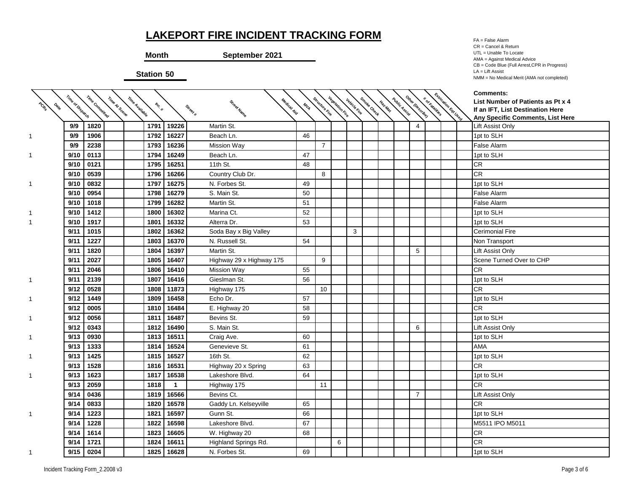**Month September 2021**

**Station 50**

FA = False Alarm CR = Cancel & Return UTL = Unable To Locate AMA = Against Medical Advice CB = Code Blue (Full Arrest,CPR in Progress) LA = Lift Assist NMM = No Medical Merit (AMA not completed)

| PORT | Time of Dispatch | Time Committed | Time At Scene<br>Time Avallable | Inc. # |              |                          | Medical Aid<br>MILA | Structure Rire | <b>Vegetation Fire</b> |              | Smoke Check |         |               | Other (Describe) | * or katalhies | <b>CANCING CALGED</b> | <b>Comments:</b><br>List Number of Patients as Pt x 4                |
|------|------------------|----------------|---------------------------------|--------|--------------|--------------------------|---------------------|----------------|------------------------|--------------|-------------|---------|---------------|------------------|----------------|-----------------------|----------------------------------------------------------------------|
|      |                  |                |                                 |        |              | Street Name<br>Street #  |                     |                |                        | Vehicle Fire |             | Haz.Mat | Public Assist |                  |                |                       | If an IFT, List Destination Here<br>Any Specific Comments, List Here |
|      | 9/9              | 1820           |                                 | 1791   | 19226        | Martin St.               |                     |                |                        |              |             |         |               | 4                |                |                       | <b>Lift Assist Only</b>                                              |
|      | 9/9              | 1906           |                                 | 1792   | 16227        | Beach Ln.                | 46                  |                |                        |              |             |         |               |                  |                |                       | 1pt to SLH                                                           |
|      | 9/9              | 2238           |                                 | 1793   | 16236        | <b>Mission Way</b>       |                     | $\overline{7}$ |                        |              |             |         |               |                  |                |                       | False Alarm                                                          |
|      | 9/10             | 0113           |                                 | 1794   | 16249        | Beach Ln.                | 47                  |                |                        |              |             |         |               |                  |                |                       | 1pt to SLH                                                           |
|      | 9/10             | 0121           |                                 | 1795   | 16251        | 11th St.                 | 48                  |                |                        |              |             |         |               |                  |                |                       | <b>CR</b>                                                            |
|      | 9/10             | 0539           |                                 | 1796   | 16266        | Country Club Dr.         |                     | 8              |                        |              |             |         |               |                  |                |                       | <b>CR</b>                                                            |
| 1.   | 9/10             | 0832           |                                 | 1797   | 16275        | N. Forbes St.            | 49                  |                |                        |              |             |         |               |                  |                |                       | 1pt to SLH                                                           |
|      | 9/10             | 0954           |                                 | 1798   | 16279        | S. Main St.              | 50                  |                |                        |              |             |         |               |                  |                |                       | False Alarm                                                          |
|      | 9/10             | 1018           |                                 | 1799   | 16282        | Martin St.               | 51                  |                |                        |              |             |         |               |                  |                |                       | False Alarm                                                          |
|      | 9/10             | 1412           |                                 | 1800   | 16302        | Marina Ct.               | 52                  |                |                        |              |             |         |               |                  |                |                       | 1pt to SLH                                                           |
|      | 9/10             | 1917           |                                 | 1801   | 16332        | Alterra Dr.              | 53                  |                |                        |              |             |         |               |                  |                |                       | 1pt to SLH                                                           |
|      | 9/11             | 1015           |                                 | 1802   | 16362        | Soda Bay x Big Valley    |                     |                |                        | 3            |             |         |               |                  |                |                       | <b>Cerimonial Fire</b>                                               |
|      | 9/11             | 1227           |                                 | 1803   | 16370        | N. Russell St.           | 54                  |                |                        |              |             |         |               |                  |                |                       | Non Transport                                                        |
|      | 9/11             | 1820           |                                 | 1804   | 16397        | Martin St.               |                     |                |                        |              |             |         |               | 5                |                |                       | Lift Assist Only                                                     |
|      | 9/11             | 2027           |                                 | 1805   | 16407        | Highway 29 x Highway 175 |                     | 9              |                        |              |             |         |               |                  |                |                       | Scene Turned Over to CHP                                             |
|      | 9/11             | 2046           |                                 | 1806   | 16410        | <b>Mission Way</b>       | 55                  |                |                        |              |             |         |               |                  |                |                       | <b>CR</b>                                                            |
| 1    | 9/11             | 2139           |                                 | 1807   | 16416        | Gieslman St.             | 56                  |                |                        |              |             |         |               |                  |                |                       | 1pt to SLH                                                           |
|      | 9/12             | 0528           |                                 | 1808   | 11873        | Highway 175              |                     | 10             |                        |              |             |         |               |                  |                |                       | <b>CR</b>                                                            |
| 1    | 9/12             | 1449           |                                 | 1809   | 16458        | Echo Dr.                 | 57                  |                |                        |              |             |         |               |                  |                |                       | 1pt to SLH                                                           |
|      | 9/12             | 0005           |                                 | 1810   | 16484        | E. Highway 20            | 58                  |                |                        |              |             |         |               |                  |                |                       | <b>CR</b>                                                            |
| 1.   | 9/12             | 0056           |                                 | 1811   | 16487        | Bevins St.               | 59                  |                |                        |              |             |         |               |                  |                |                       | 1pt to SLH                                                           |
|      | 9/12             | 0343           |                                 | 1812   | 16490        | S. Main St.              |                     |                |                        |              |             |         |               | 6                |                |                       | Lift Assist Only                                                     |
|      | 9/13             | 0930           |                                 | 1813   | 16511        | Craig Ave.               | 60                  |                |                        |              |             |         |               |                  |                |                       | 1pt to SLH                                                           |
|      | 9/13             | 1333           |                                 | 1814   | 16524        | Genevieve St.            | 61                  |                |                        |              |             |         |               |                  |                |                       | <b>AMA</b>                                                           |
| 1.   | 9/13             | 1425           |                                 | 1815   | 16527        | 16th St.                 | 62                  |                |                        |              |             |         |               |                  |                |                       | 1pt to SLH                                                           |
|      | 9/13             | 1528           |                                 | 1816   | 16531        | Highway 20 x Spring      | 63                  |                |                        |              |             |         |               |                  |                |                       | CR                                                                   |
|      | 9/13             | 1623           |                                 | 1817   | 16538        | Lakeshore Blvd.          | 64                  |                |                        |              |             |         |               |                  |                |                       | 1pt to SLH                                                           |
|      | 9/13             | 2059           |                                 | 1818   | $\mathbf{1}$ | Highway 175              |                     | 11             |                        |              |             |         |               |                  |                |                       | <b>CR</b>                                                            |
|      | 9/14             | 0436           |                                 | 1819   | 16566        | Bevins Ct.               |                     |                |                        |              |             |         |               | $\overline{7}$   |                |                       | Lift Assist Only                                                     |
|      | 9/14             | 0833           |                                 | 1820   | 16578        | Gaddy Ln. Kelseyville    | 65                  |                |                        |              |             |         |               |                  |                |                       | <b>CR</b>                                                            |
| 1.   | 9/14             | 1223           |                                 | 1821   | 16597        | Gunn St.                 | 66                  |                |                        |              |             |         |               |                  |                |                       | 1pt to SLH                                                           |
|      | 9/14             | 1228           |                                 | 1822   | 16598        | Lakeshore Blvd.          | 67                  |                |                        |              |             |         |               |                  |                |                       | M5511 IPO M5011                                                      |
|      | 9/14             | 1614           |                                 | 1823   | 16605        | W. Highway 20            | 68                  |                |                        |              |             |         |               |                  |                |                       | <b>CR</b>                                                            |
|      | 9/14             | 1721           |                                 | 1824   | 16611        | Highland Springs Rd.     |                     |                | 6                      |              |             |         |               |                  |                |                       | <b>CR</b>                                                            |
|      | 9/15             | 0204           |                                 | 1825   | 16628        | N. Forbes St.            | 69                  |                |                        |              |             |         |               |                  |                |                       | 1pt to SLH                                                           |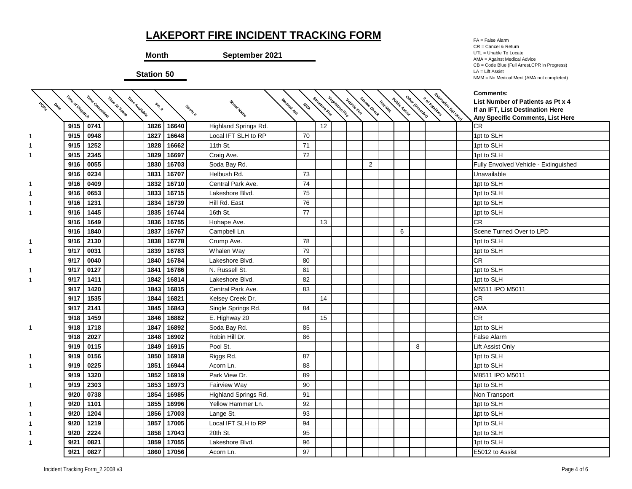**Month September 2021**

**Station 50**

FA = False Alarm CR = Cancel & Return UTL = Unable To Locate AMA = Against Medical Advice CB = Code Blue (Full Arrest,CPR in Progress) LA = Lift Assist NMM = No Medical Merit (AMA not completed)

| PORT<br><b>ONE</b> | Time of Dispatch | Time Committed | Time At Scene<br>Time Avaliable | Inc. # |       | Street Name<br>Street # | Medical Aid<br>MILA | Structure Rive | <b>Vegetation River</b> | Vehicle Fire | Smoke Check    | Haz.Mat | <b>Public Assist</b> | Other Describe) | Extrication<br>* or katalities | I Eqt User | <b>Comments:</b><br>List Number of Patients as Pt x 4<br>If an IFT, List Destination Here<br>Any Specific Comments, List Here |
|--------------------|------------------|----------------|---------------------------------|--------|-------|-------------------------|---------------------|----------------|-------------------------|--------------|----------------|---------|----------------------|-----------------|--------------------------------|------------|-------------------------------------------------------------------------------------------------------------------------------|
|                    | 9/15             | 0741           |                                 | 1826   | 16640 | Highland Springs Rd.    |                     | 12             |                         |              |                |         |                      |                 |                                |            | <b>CR</b>                                                                                                                     |
|                    | 9/15             | 0948           |                                 | 1827   | 16648 | Local IFT SLH to RP     | 70                  |                |                         |              |                |         |                      |                 |                                |            | 1pt to SLH                                                                                                                    |
|                    | 9/15             | 1252           |                                 | 1828   | 16662 | 11th St.                | 71                  |                |                         |              |                |         |                      |                 |                                |            | 1pt to SLH                                                                                                                    |
|                    | 9/15             | 2345           |                                 | 1829   | 16697 | Craig Ave.              | 72                  |                |                         |              |                |         |                      |                 |                                |            | 1pt to SLH                                                                                                                    |
|                    | 9/16             | 0055           |                                 | 1830   | 16703 | Soda Bay Rd.            |                     |                |                         |              | $\overline{2}$ |         |                      |                 |                                |            | Fully Envolved Vehicle - Extinguished                                                                                         |
|                    | 9/16             | 0234           |                                 | 1831   | 16707 | Helbush Rd.             | 73                  |                |                         |              |                |         |                      |                 |                                |            | Unavailable                                                                                                                   |
|                    | 9/16             | 0409           |                                 | 1832   | 16710 | Central Park Ave.       | 74                  |                |                         |              |                |         |                      |                 |                                |            | 1pt to SLH                                                                                                                    |
|                    | 9/16             | 0653           |                                 | 1833   | 16715 | Lakeshore Blvd.         | 75                  |                |                         |              |                |         |                      |                 |                                |            | 1pt to SLH                                                                                                                    |
|                    | 9/16             | 1231           |                                 | 1834   | 16739 | Hill Rd. East           | 76                  |                |                         |              |                |         |                      |                 |                                |            | 1pt to SLH                                                                                                                    |
|                    | 9/16             | 1445           |                                 | 1835   | 16744 | 16th St.                | 77                  |                |                         |              |                |         |                      |                 |                                |            | 1pt to SLH                                                                                                                    |
|                    | 9/16             | 1649           |                                 | 1836   | 16755 | Hohape Ave.             |                     | 13             |                         |              |                |         |                      |                 |                                |            | CR                                                                                                                            |
|                    | 9/16             | 1840           |                                 | 1837   | 16767 | Campbell Ln.            |                     |                |                         |              |                |         | 6                    |                 |                                |            | Scene Turned Over to LPD                                                                                                      |
|                    | 9/16             | 2130           |                                 | 1838   | 16778 | Crump Ave.              | 78                  |                |                         |              |                |         |                      |                 |                                |            | 1pt to SLH                                                                                                                    |
|                    | 9/17             | 0031           |                                 | 1839   | 16783 | Whalen Way              | 79                  |                |                         |              |                |         |                      |                 |                                |            | 1pt to SLH                                                                                                                    |
|                    | 9/17             | 0040           |                                 | 1840   | 16784 | Lakeshore Blvd.         | 80                  |                |                         |              |                |         |                      |                 |                                |            | <b>CR</b>                                                                                                                     |
|                    | 9/17             | 0127           |                                 | 1841   | 16786 | N. Russell St.          | 81                  |                |                         |              |                |         |                      |                 |                                |            | 1pt to SLH                                                                                                                    |
|                    | 9/17             | 1411           |                                 | 1842   | 16814 | Lakeshore Blvd.         | 82                  |                |                         |              |                |         |                      |                 |                                |            | 1pt to SLH                                                                                                                    |
|                    | 9/17             | 1420           |                                 | 1843   | 16815 | Central Park Ave.       | 83                  |                |                         |              |                |         |                      |                 |                                |            | M5511 IPO M5011                                                                                                               |
|                    | 9/17             | 1535           |                                 | 1844   | 16821 | Kelsey Creek Dr.        |                     | 14             |                         |              |                |         |                      |                 |                                |            | <b>CR</b>                                                                                                                     |
|                    | 9/17             | 2141           |                                 | 1845   | 16843 | Single Springs Rd.      | 84                  |                |                         |              |                |         |                      |                 |                                |            | AMA                                                                                                                           |
|                    | 9/18             | 1459           |                                 | 1846   | 16882 | E. Highway 20           |                     | 15             |                         |              |                |         |                      |                 |                                |            | <b>CR</b>                                                                                                                     |
| 1                  | 9/18             | 1718           |                                 | 1847   | 16892 | Soda Bay Rd.            | 85                  |                |                         |              |                |         |                      |                 |                                |            | 1pt to SLH                                                                                                                    |
|                    | 9/18             | 2027           |                                 | 1848   | 16902 | Robin Hill Dr.          | 86                  |                |                         |              |                |         |                      |                 |                                |            | <b>False Alarm</b>                                                                                                            |
|                    | 9/19             | 0115           |                                 | 1849   | 16915 | Pool St.                |                     |                |                         |              |                |         |                      | 8               |                                |            | Lift Assist Only                                                                                                              |
|                    | 9/19             | 0156           |                                 | 1850   | 16918 | Riggs Rd.               | 87                  |                |                         |              |                |         |                      |                 |                                |            | 1pt to SLH                                                                                                                    |
|                    | 9/19             | 0225           |                                 | 1851   | 16944 | Acorn Ln.               | 88                  |                |                         |              |                |         |                      |                 |                                |            | 1pt to SLH                                                                                                                    |
|                    | 9/19             | 1320           |                                 | 1852   | 16919 | Park View Dr.           | 89                  |                |                         |              |                |         |                      |                 |                                |            | M8511 IPO M5011                                                                                                               |
|                    | 9/19             | 2303           |                                 | 1853   | 16973 | <b>Fairview Way</b>     | 90                  |                |                         |              |                |         |                      |                 |                                |            | 1pt to SLH                                                                                                                    |
|                    | 9/20             | 0738           |                                 | 1854   | 16985 | Highland Springs Rd.    | 91                  |                |                         |              |                |         |                      |                 |                                |            | Non Transport                                                                                                                 |
|                    | 9/20             | 1101           |                                 | 1855   | 16996 | Yellow Hammer Ln.       | 92                  |                |                         |              |                |         |                      |                 |                                |            | 1pt to SLH                                                                                                                    |
|                    | 9/20             | 1204           |                                 | 1856   | 17003 | Lange St.               | 93                  |                |                         |              |                |         |                      |                 |                                |            | 1pt to SLH                                                                                                                    |
|                    | 9/20             | 1219           |                                 | 1857   | 17005 | Local IFT SLH to RP     | 94                  |                |                         |              |                |         |                      |                 |                                |            | 1pt to SLH                                                                                                                    |
|                    | 9/20             | 2224           |                                 | 1858   | 17043 | 20th St.                | 95                  |                |                         |              |                |         |                      |                 |                                |            | 1pt to SLH                                                                                                                    |
|                    | 9/21             | 0821           |                                 | 1859   | 17055 | Lakeshore Blvd.         | 96                  |                |                         |              |                |         |                      |                 |                                |            | 1pt to SLH                                                                                                                    |
|                    | 9/21             | 0827           |                                 | 1860   | 17056 | Acorn Ln.               | 97                  |                |                         |              |                |         |                      |                 |                                |            | E5012 to Assist                                                                                                               |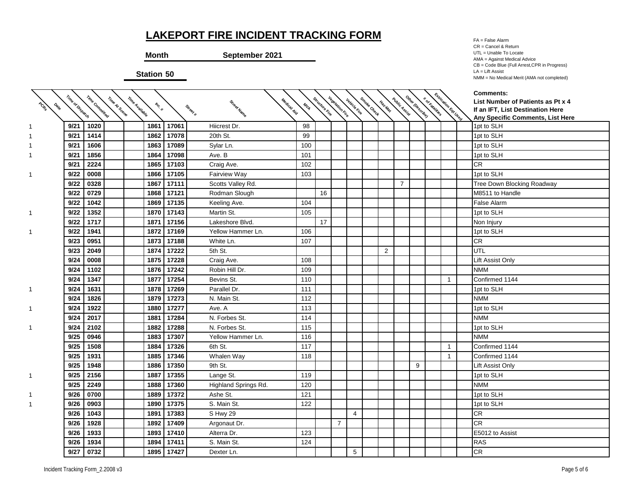**Month September 2021**

**Station 50**

FA = False Alarm CR = Cancel & Return UTL = Unable To Locate AMA = Against Medical Advice CB = Code Blue (Full Arrest,CPR in Progress) LA = Lift Assist NMM = No Medical Merit (AMA not completed)

**# of Fatalities Extrication Eqt Used Comments: List Number of Patients as Pt x 4 If an IFT, List Destination Here Any Specific Comments, List Here**

|                    |                  |                |                                 |        |       |                         |             |               |                        |                     |             |                |                |                  |                 |                      | Comments:                         |
|--------------------|------------------|----------------|---------------------------------|--------|-------|-------------------------|-------------|---------------|------------------------|---------------------|-------------|----------------|----------------|------------------|-----------------|----------------------|-----------------------------------|
| PCRS<br><b>ONG</b> |                  |                |                                 | Inc. # |       |                         | MYA         |               |                        |                     |             | Haz-Mat        |                |                  |                 |                      | List Number of Patients as Pt x 4 |
|                    | Time of Dispatch | Time Committed | Time At Scene<br>Time Avallable |        |       | Street Name<br>Street # | Medical Aid | Shucture Rive | <b>Vegetation Fire</b> | <b>Vehicle Fire</b> | Smoke Check |                | Public Assist  | Other (Describe) | * or katalities | Extrication Equ Used | If an IFT, List Destination Here  |
|                    |                  |                |                                 |        |       |                         |             |               |                        |                     |             |                |                |                  |                 |                      | Any Specific Comments, List Here  |
|                    | 9/21             | 1020           |                                 | 1861   | 17061 | Hiicrest Dr.            | 98          |               |                        |                     |             |                |                |                  |                 |                      | 1pt to SLH                        |
|                    | 9/21             | 1414           |                                 | 1862   | 17078 | 20th St.                | 99          |               |                        |                     |             |                |                |                  |                 |                      | 1pt to SLH                        |
|                    | 9/21             | 1606           |                                 | 1863   | 17089 | Sylar Ln.               | 100         |               |                        |                     |             |                |                |                  |                 |                      | 1pt to SLH                        |
|                    | 9/21             | 1856           |                                 | 1864   | 17098 | Ave. B                  | 101         |               |                        |                     |             |                |                |                  |                 |                      | 1pt to SLH                        |
|                    | 9/21             | 2224           |                                 | 1865   | 17103 | Craig Ave.              | 102         |               |                        |                     |             |                |                |                  |                 |                      | CR                                |
|                    | 9/22             | 0008           |                                 | 1866   | 17105 | Fairview Way            | 103         |               |                        |                     |             |                |                |                  |                 |                      | 1pt to SLH                        |
|                    | 9/22             | 0328           |                                 | 1867   | 17111 | Scotts Valley Rd.       |             |               |                        |                     |             |                | $\overline{7}$ |                  |                 |                      | Tree Down Blocking Roadway        |
|                    | 9/22             | 0729           |                                 | 1868   | 17121 | Rodman Slough           |             | 16            |                        |                     |             |                |                |                  |                 |                      | M8511 to Handle                   |
|                    | 9/22             | 1042           |                                 | 1869   | 17135 | Keeling Ave.            | 104         |               |                        |                     |             |                |                |                  |                 |                      | <b>False Alarm</b>                |
| 1                  | 9/22             | 1352           |                                 | 1870   | 17143 | Martin St.              | 105         |               |                        |                     |             |                |                |                  |                 |                      | 1pt to SLH                        |
|                    | 9/22             | 1717           |                                 | 1871   | 17156 | Lakeshore Blvd.         |             | 17            |                        |                     |             |                |                |                  |                 |                      | Non Injury                        |
| 1                  | 9/22             | 1941           |                                 | 1872   | 17169 | Yellow Hammer Ln.       | 106         |               |                        |                     |             |                |                |                  |                 |                      | 1pt to SLH                        |
|                    | 9/23             | 0951           |                                 | 1873   | 17188 | White Ln.               | 107         |               |                        |                     |             |                |                |                  |                 |                      | <b>CR</b>                         |
|                    | 9/23             | 2049           |                                 | 1874   | 17222 | 5th St.                 |             |               |                        |                     |             | $\overline{2}$ |                |                  |                 |                      | UTL                               |
|                    | 9/24             | 0008           |                                 | 1875   | 17228 | Craig Ave.              | 108         |               |                        |                     |             |                |                |                  |                 |                      | Lift Assist Only                  |
|                    | 9/24             | 1102           |                                 | 1876   | 17242 | Robin Hill Dr.          | 109         |               |                        |                     |             |                |                |                  |                 |                      | <b>NMM</b>                        |
|                    | 9/24             | 1347           |                                 | 1877   | 17254 | Bevins St.              | 110         |               |                        |                     |             |                |                |                  |                 |                      | Confirmed 1144                    |
| 1                  | 9/24             | 1631           |                                 | 1878   | 17269 | Parallel Dr.            | 111         |               |                        |                     |             |                |                |                  |                 |                      | 1pt to SLH                        |
|                    | 9/24             | 1826           |                                 | 1879   | 17273 | N. Main St.             | 112         |               |                        |                     |             |                |                |                  |                 |                      | <b>NMM</b>                        |
| 1                  | 9/24             | 1922           |                                 | 1880   | 17277 | Ave. A                  | 113         |               |                        |                     |             |                |                |                  |                 |                      | 1pt to SLH                        |
|                    | 9/24             | 2017           |                                 | 1881   | 17284 | N. Forbes St.           | 114         |               |                        |                     |             |                |                |                  |                 |                      | <b>NMM</b>                        |
| 1                  | 9/24             | 2102           |                                 | 1882   | 17288 | N. Forbes St.           | 115         |               |                        |                     |             |                |                |                  |                 |                      | 1pt to SLH                        |
|                    | 9/25             | 0946           |                                 | 1883   | 17307 | Yellow Hammer Ln.       | 116         |               |                        |                     |             |                |                |                  |                 |                      | <b>NMM</b>                        |
|                    | 9/25             | 1508           |                                 | 1884   | 17326 | 6th St.                 | 117         |               |                        |                     |             |                |                |                  |                 | 1                    | Confirmed 1144                    |
|                    | 9/25             | 1931           |                                 | 1885   | 17346 | Whalen Way              | 118         |               |                        |                     |             |                |                |                  |                 | 1                    | Confirmed 1144                    |
|                    | 9/25             | 1948           |                                 | 1886   | 17350 | 9th St.                 |             |               |                        |                     |             |                |                | 9                |                 |                      | <b>Lift Assist Only</b>           |
| 1                  | 9/25             | 2156           |                                 | 1887   | 17355 | Lange St.               | 119         |               |                        |                     |             |                |                |                  |                 |                      | 1pt to SLH                        |
|                    | 9/25             | 2249           |                                 | 1888   | 17360 | Highland Springs Rd.    | 120         |               |                        |                     |             |                |                |                  |                 |                      | <b>NMM</b>                        |
| 1                  | 9/26             | 0700           |                                 | 1889   | 17372 | Ashe St.                | 121         |               |                        |                     |             |                |                |                  |                 |                      | 1pt to SLH                        |
|                    | 9/26             | 0903           |                                 | 1890   | 17375 | S. Main St.             | 122         |               |                        |                     |             |                |                |                  |                 |                      | 1pt to SLH                        |
|                    | 9/26             | 1043           |                                 | 1891   | 17383 | S Hwy 29                |             |               |                        | $\overline{4}$      |             |                |                |                  |                 |                      | <b>CR</b>                         |
|                    | 9/26             | 1928           |                                 | 1892   | 17409 | Argonaut Dr.            |             |               | $\overline{7}$         |                     |             |                |                |                  |                 |                      | <b>CR</b>                         |
|                    | 9/26             | 1933           |                                 | 1893   | 17410 | Alterra Dr.             | 123         |               |                        |                     |             |                |                |                  |                 |                      | E5012 to Assist                   |
|                    | 9/26             | 1934           |                                 | 1894   | 17411 | S. Main St.             | 124         |               |                        |                     |             |                |                |                  |                 |                      | <b>RAS</b>                        |
|                    | 9/27             | 0732           |                                 | 1895   | 17427 | Dexter Ln.              |             |               |                        | 5                   |             |                |                |                  |                 |                      | <b>CR</b>                         |
|                    |                  |                |                                 |        |       |                         |             |               |                        |                     |             |                |                |                  |                 |                      |                                   |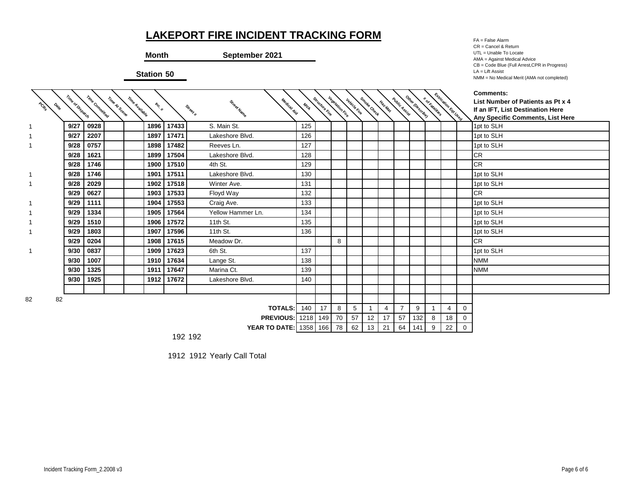**Month September 2021**

**Station 50**

FA = False Alarm CR = Cancel & Return UTL = Unable To Locate AMA = Against Medical Advice CB = Code Blue (Full Arrest,CPR in Progress) LA = Lift Assist NMM = No Medical Merit (AMA not completed)

**PCRs Date Time of Dispatch Time Con Time At Scene Time Available Inc. # Street # Street Name Medical Aid**  $M_{L_{\!\bar{Q}}}$ **Structure Fire Validn Fire Vehicle Fire Smoke Check Haz-Mat Public Assist** Other (Describe) **# of Fatalities Extrication Eqt Used Comments: List Number of Patients as Pt x 4 If an IFT, List Destination Here Any Specific Comments, List Here** 1 **| 9/27 | 0928 | | | 1896 | 17433 |** S. Main St. | 125 | | | | | | | | | | | 1pt to SLH 1 **| 9/27 | 2207 | | 1897 | 17471 |** Lakeshore Blvd. | 126 | | | | | | | | | 1pt to SLH 1 **9/28 0757 1898 17482** 2580 Reeves Ln. 127 1pt to SLH **9/28 1621 1899 17504** 2730 Lakeshore Blvd. 128 CR **9/28 1746 1900 17510** 5226 4th St. 129 CR 1 **| 9/28 | 1746 | | | 1901 | 17511 |** Lakeshore Blvd. | 130 | | | | | | | | | | 1pt to SLH 1 **| 9/28 | 2029 | | 1902 | 17518 |** Winter Ave. | 131 | | | | | | | | | 1pt to SLH **9/29 0627 1903 17533** 6852 Floyd Way 132 CR 1 **9/29 1111 1904 17553** 1291 Craig Ave. 133 1pt to SLH 1 **| 9/29 | 1334 | | | 1905 | 17564 |** Yellow Hammer Ln. | 134 | | | | | | | | | | 1pt to SLH 1 **| 9/29 | 1510 | | 1906 | 17572 |** 11th St. | 135 | | | | | | | | | 1pt to SLH 1 **| 9/29 | 1803 | | | 1907 | 17596 |** 11th St. | 136 | | | | | | | | | | 1pt to SLH **9/29 0204 1908 17615** 2871 Meadow Dr. 8 CR 1 **| 9/30 | 0837 | | | 1909 | 17623 |** 6th St. | 137 | | | | | | | | | | | 1pt to SLH **9/30 1007 1910 17634** 350 Lange St. 138 NMM **9/30 1325 1911 17647** 3357 Marina Ct. 139 NMM **9/30 1925 1912 1912 17672** Lakeshore Blvd. 140 82 82 **TOTALS:** 140 | 17 | 8 | 5 | 1 | 4 | 7 | 9 | 1 | 4 | 0 **PREVIOUS:** 1218 149 70 57 12 17 57 132 8 18 0 **YEAR TO DATE:** 1358 166 78 62 13 21 64 141 9 22 0

192 192

1912 1912 Yearly Call Total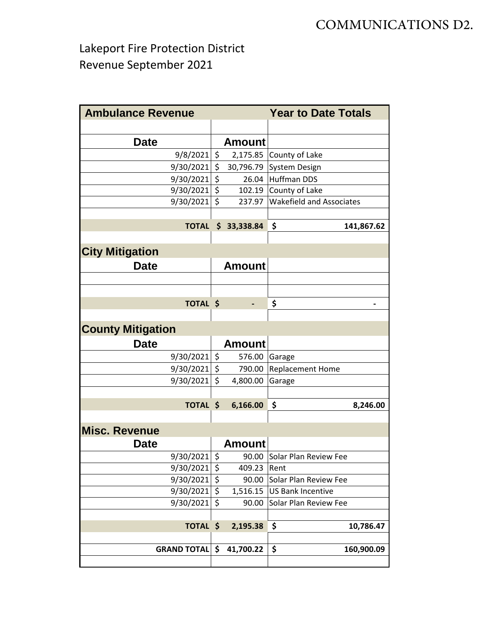Lakeport Fire Protection District Revenue September 2021

| <b>Ambulance Revenue</b> |                    |               | <b>Year to Date Totals</b>      |
|--------------------------|--------------------|---------------|---------------------------------|
|                          |                    |               |                                 |
| <b>Date</b>              |                    | <b>Amount</b> |                                 |
| 9/8/2021                 | $\zeta$            | 2,175.85      | County of Lake                  |
| 9/30/2021                | \$                 | 30,796.79     | <b>System Design</b>            |
| 9/30/2021                | $\zeta$            | 26.04         | <b>Huffman DDS</b>              |
| 9/30/2021                | $\ddot{\varsigma}$ | 102.19        | County of Lake                  |
| 9/30/2021                | $\zeta$            | 237.97        | <b>Wakefield and Associates</b> |
|                          |                    |               |                                 |
| <b>TOTAL</b>             |                    | \$33,338.84   | \$<br>141,867.62                |
|                          |                    |               |                                 |
| <b>City Mitigation</b>   |                    |               |                                 |
| <b>Date</b>              |                    | <b>Amount</b> |                                 |
|                          |                    |               |                                 |
|                          |                    |               |                                 |
| <b>TOTAL \$</b>          |                    |               | \$                              |
|                          |                    |               |                                 |
| <b>County Mitigation</b> |                    |               |                                 |
| <b>Date</b>              |                    | <b>Amount</b> |                                 |
|                          |                    |               |                                 |
| 9/30/2021                | $\ddot{\varsigma}$ | 576.00        | Garage                          |
| 9/30/2021                | \$                 | 790.00        | Replacement Home                |
| 9/30/2021                | \$                 | 4,800.00      | Garage                          |
| <b>TOTAL \$</b>          |                    | 6,166.00      | \$<br>8,246.00                  |
|                          |                    |               |                                 |
| <b>Misc. Revenue</b>     |                    |               |                                 |
|                          |                    |               |                                 |
| <b>Date</b>              |                    | <b>Amount</b> |                                 |
| 9/30/2021                | $\zeta$            | 90.00         | Solar Plan Review Fee           |
| 9/30/2021                | \$                 | 409.23        | Rent                            |
| 9/30/2021                | \$                 | 90.00         | Solar Plan Review Fee           |
| 9/30/2021                | \$                 | 1,516.15      | <b>US Bank Incentive</b>        |
| 9/30/2021                | \$                 | 90.00         | Solar Plan Review Fee           |
| <b>TOTAL</b>             | \$                 | 2,195.38      | \$<br>10,786.47                 |
|                          |                    |               |                                 |
| <b>GRAND TOTAL \$</b>    |                    | 41,700.22     | \$<br>160,900.09                |
|                          |                    |               |                                 |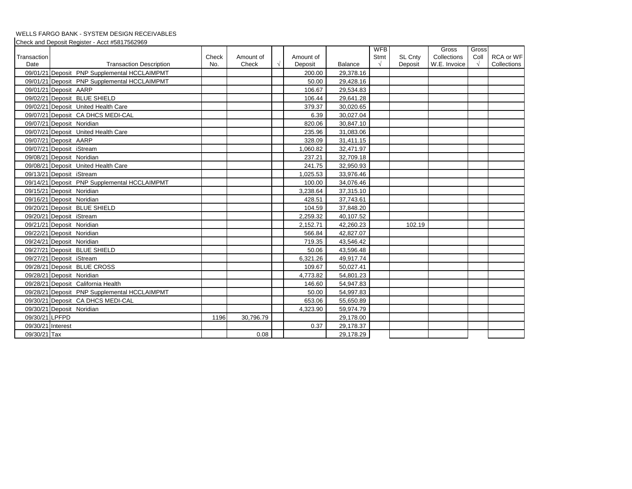#### WELLS FARGO BANK - SYSTEM DESIGN RECEIVABLES

Check and Deposit Register - Acct #5817562969

|                |                                              |       |           |            |           |                | <b>WFB</b> |         | Gross        | Gross      |             |
|----------------|----------------------------------------------|-------|-----------|------------|-----------|----------------|------------|---------|--------------|------------|-------------|
| Transaction    |                                              | Check | Amount of |            | Amount of |                | Stmt       | SL Cnty | Collections  | Coll       | RCA or WF   |
| Date           | <b>Transaction Description</b>               | No.   | Check     | $\sqrt{ }$ | Deposit   | <b>Balance</b> | $\sqrt{ }$ | Deposit | W.E. Invoice | $\sqrt{ }$ | Collections |
|                | 09/01/21 Deposit PNP Supplemental HCCLAIMPMT |       |           |            | 200.00    | 29,378.16      |            |         |              |            |             |
|                | 09/01/21 Deposit PNP Supplemental HCCLAIMPMT |       |           |            | 50.00     | 29,428.16      |            |         |              |            |             |
|                | 09/01/21 Deposit AARP                        |       |           |            | 106.67    | 29,534.83      |            |         |              |            |             |
|                | 09/02/21 Deposit BLUE SHIELD                 |       |           |            | 106.44    | 29,641.28      |            |         |              |            |             |
|                | 09/02/21 Deposit United Health Care          |       |           |            | 379.37    | 30,020.65      |            |         |              |            |             |
|                | 09/07/21 Deposit CA DHCS MEDI-CAL            |       |           |            | 6.39      | 30,027.04      |            |         |              |            |             |
|                | 09/07/21 Deposit Noridian                    |       |           |            | 820.06    | 30,847.10      |            |         |              |            |             |
|                | 09/07/21 Deposit United Health Care          |       |           |            | 235.96    | 31,083.06      |            |         |              |            |             |
|                | 09/07/21 Deposit AARP                        |       |           |            | 328.09    | 31,411.15      |            |         |              |            |             |
|                | 09/07/21 Deposit iStream                     |       |           |            | 1.060.82  | 32.471.97      |            |         |              |            |             |
|                | 09/08/21 Deposit Noridian                    |       |           |            | 237.21    | 32,709.18      |            |         |              |            |             |
|                | 09/08/21 Deposit United Health Care          |       |           |            | 241.75    | 32,950.93      |            |         |              |            |             |
|                | 09/13/21 Deposit iStream                     |       |           |            | 1.025.53  | 33,976.46      |            |         |              |            |             |
|                | 09/14/21 Deposit PNP Supplemental HCCLAIMPMT |       |           |            | 100.00    | 34,076.46      |            |         |              |            |             |
|                | 09/15/21 Deposit Noridian                    |       |           |            | 3,238.64  | 37,315.10      |            |         |              |            |             |
|                | 09/16/21 Deposit Noridian                    |       |           |            | 428.51    | 37,743.61      |            |         |              |            |             |
|                | 09/20/21 Deposit BLUE SHIELD                 |       |           |            | 104.59    | 37,848.20      |            |         |              |            |             |
|                | 09/20/21 Deposit iStream                     |       |           |            | 2,259.32  | 40,107.52      |            |         |              |            |             |
|                | 09/21/21 Deposit Noridian                    |       |           |            | 2,152.71  | 42,260.23      |            | 102.19  |              |            |             |
|                | 09/22/21 Deposit Noridian                    |       |           |            | 566.84    | 42,827.07      |            |         |              |            |             |
|                | 09/24/21 Deposit Noridian                    |       |           |            | 719.35    | 43,546.42      |            |         |              |            |             |
|                | 09/27/21 Deposit BLUE SHIELD                 |       |           |            | 50.06     | 43,596.48      |            |         |              |            |             |
|                | 09/27/21 Deposit iStream                     |       |           |            | 6,321.26  | 49,917.74      |            |         |              |            |             |
|                | 09/28/21 Deposit BLUE CROSS                  |       |           |            | 109.67    | 50,027.41      |            |         |              |            |             |
|                | 09/28/21 Deposit Noridian                    |       |           |            | 4,773.82  | 54,801.23      |            |         |              |            |             |
|                | 09/28/21 Deposit California Health           |       |           |            | 146.60    | 54,947.83      |            |         |              |            |             |
|                | 09/28/21 Deposit PNP Supplemental HCCLAIMPMT |       |           |            | 50.00     | 54,997.83      |            |         |              |            |             |
|                | 09/30/21 Deposit CA DHCS MEDI-CAL            |       |           |            | 653.06    | 55,650.89      |            |         |              |            |             |
|                | 09/30/21 Deposit Noridian                    |       |           |            | 4,323.90  | 59,974.79      |            |         |              |            |             |
| 09/30/21 LPFPD |                                              | 1196  | 30,796.79 |            |           | 29,178.00      |            |         |              |            |             |
|                | 09/30/21 Interest                            |       |           |            | 0.37      | 29,178.37      |            |         |              |            |             |
| 09/30/21 Tax   |                                              |       | 0.08      |            |           | 29.178.29      |            |         |              |            |             |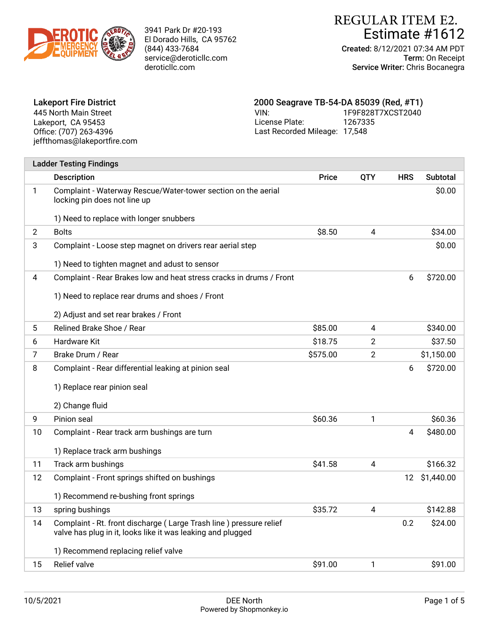

# Estimate #1612 REGULAR ITEM E2.

Created: 8/12/2021 07:34 AM PDT Term: On Receipt Service Writer: Chris Bocanegra

| <b>Lakeport Fire District</b> | 2000 Seagrave TB-54-DA 85039 (Red, #T1) |                   |
|-------------------------------|-----------------------------------------|-------------------|
| 445 North Main Street         | VIN:                                    | 1F9F828T7XCST2040 |
| Lakeport, CA 95453            | License Plate:                          | 1267335           |
| Office: (707) 263-4396        | Last Recorded Mileage: 17,548           |                   |
| jeffthomas@lakeportfire.com   |                                         |                   |

|                | <b>Ladder Testing Findings</b>                                                                                                    |          |                         |            |               |
|----------------|-----------------------------------------------------------------------------------------------------------------------------------|----------|-------------------------|------------|---------------|
|                | <b>Description</b>                                                                                                                | Price    | <b>QTY</b>              | <b>HRS</b> | Subtotal      |
| 1              | Complaint - Waterway Rescue/Water-tower section on the aerial<br>locking pin does not line up                                     |          |                         |            | \$0.00        |
|                | 1) Need to replace with longer snubbers                                                                                           |          |                         |            |               |
| $\overline{2}$ | <b>Bolts</b>                                                                                                                      | \$8.50   | $\overline{\mathbf{4}}$ |            | \$34.00       |
| 3              | Complaint - Loose step magnet on drivers rear aerial step<br>1) Need to tighten magnet and adust to sensor                        |          |                         |            | \$0.00        |
| 4              | Complaint - Rear Brakes low and heat stress cracks in drums / Front<br>1) Need to replace rear drums and shoes / Front            |          |                         | 6          | \$720.00      |
|                | 2) Adjust and set rear brakes / Front                                                                                             |          |                         |            |               |
| 5              | Relined Brake Shoe / Rear                                                                                                         | \$85.00  | 4                       |            | \$340.00      |
| 6              | Hardware Kit                                                                                                                      | \$18.75  | $\overline{2}$          |            | \$37.50       |
| 7              | Brake Drum / Rear                                                                                                                 | \$575.00 | $\overline{2}$          |            | \$1,150.00    |
| 8              | Complaint - Rear differential leaking at pinion seal                                                                              |          |                         | 6          | \$720.00      |
|                | 1) Replace rear pinion seal                                                                                                       |          |                         |            |               |
|                | 2) Change fluid                                                                                                                   |          |                         |            |               |
| 9              | Pinion seal                                                                                                                       | \$60.36  | 1                       |            | \$60.36       |
| 10             | Complaint - Rear track arm bushings are turn                                                                                      |          |                         | 4          | \$480.00      |
|                | 1) Replace track arm bushings                                                                                                     |          |                         |            |               |
| 11             | Track arm bushings                                                                                                                | \$41.58  | 4                       |            | \$166.32      |
| 12             | Complaint - Front springs shifted on bushings                                                                                     |          |                         |            | 12 \$1,440.00 |
|                | 1) Recommend re-bushing front springs                                                                                             |          |                         |            |               |
| 13             | spring bushings                                                                                                                   | \$35.72  | 4                       |            | \$142.88      |
| 14             | Complaint - Rt. front discharge (Large Trash line) pressure relief<br>valve has plug in it, looks like it was leaking and plugged |          |                         | 0.2        | \$24.00       |
|                | 1) Recommend replacing relief valve                                                                                               |          |                         |            |               |
| 15             | Relief valve                                                                                                                      | \$91.00  | 1                       |            | \$91.00       |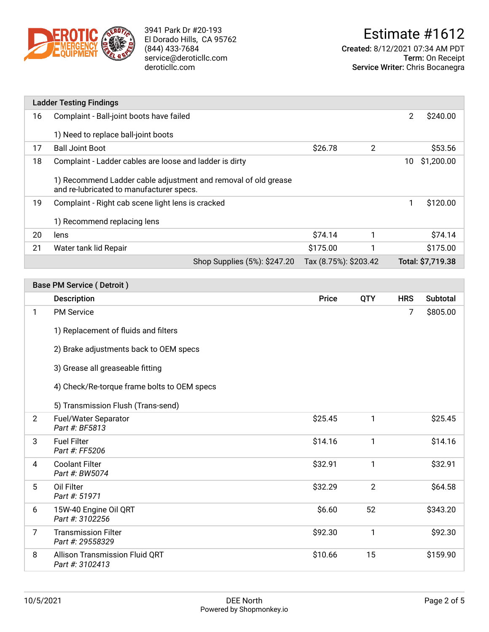

Created: 8/12/2021 07:34 AM PDT Term: On Receipt Service Writer: Chris Bocanegra

|    | <b>Ladder Testing Findings</b>                                                                             |                              |                       |                |                |                   |
|----|------------------------------------------------------------------------------------------------------------|------------------------------|-----------------------|----------------|----------------|-------------------|
| 16 | Complaint - Ball-joint boots have failed                                                                   |                              |                       |                | $\overline{2}$ | \$240.00          |
|    | 1) Need to replace ball-joint boots                                                                        |                              |                       |                |                |                   |
| 17 | <b>Ball Joint Boot</b>                                                                                     |                              | \$26.78               | $\overline{2}$ |                | \$53.56           |
| 18 | Complaint - Ladder cables are loose and ladder is dirty                                                    |                              |                       |                | 10             | \$1,200.00        |
|    | 1) Recommend Ladder cable adjustment and removal of old grease<br>and re-lubricated to manufacturer specs. |                              |                       |                |                |                   |
| 19 | Complaint - Right cab scene light lens is cracked                                                          |                              |                       |                | 1              | \$120.00          |
|    | 1) Recommend replacing lens                                                                                |                              |                       |                |                |                   |
| 20 | lens                                                                                                       |                              | \$74.14               |                |                | \$74.14           |
| 21 | Water tank lid Repair                                                                                      |                              | \$175.00              |                |                | \$175.00          |
|    |                                                                                                            | Shop Supplies (5%): \$247.20 | Tax (8.75%): \$203.42 |                |                | Total: \$7,719.38 |

|                | <b>Base PM Service (Detroit)</b>                                                  |              |                |            |                 |  |  |
|----------------|-----------------------------------------------------------------------------------|--------------|----------------|------------|-----------------|--|--|
|                | <b>Description</b>                                                                | <b>Price</b> | <b>QTY</b>     | <b>HRS</b> | <b>Subtotal</b> |  |  |
| 1              | <b>PM Service</b>                                                                 |              |                | 7          | \$805.00        |  |  |
|                | 1) Replacement of fluids and filters                                              |              |                |            |                 |  |  |
|                | 2) Brake adjustments back to OEM specs                                            |              |                |            |                 |  |  |
|                | 3) Grease all greaseable fitting                                                  |              |                |            |                 |  |  |
|                | 4) Check/Re-torque frame bolts to OEM specs<br>5) Transmission Flush (Trans-send) |              |                |            |                 |  |  |
|                |                                                                                   |              |                |            |                 |  |  |
| $\overline{2}$ | Fuel/Water Separator<br>Part #: BF5813                                            | \$25.45      | 1              |            | \$25.45         |  |  |
| 3              | <b>Fuel Filter</b><br>Part #: FF5206                                              | \$14.16      | 1              |            | \$14.16         |  |  |
| 4              | <b>Coolant Filter</b><br>Part #: BW5074                                           | \$32.91      | 1              |            | \$32.91         |  |  |
| 5              | Oil Filter<br>Part #: 51971                                                       | \$32.29      | $\overline{2}$ |            | \$64.58         |  |  |
| 6              | 15W-40 Engine Oil QRT<br>Part #: 3102256                                          | \$6.60       | 52             |            | \$343.20        |  |  |
| 7              | <b>Transmission Filter</b><br>Part #: 29558329                                    | \$92.30      | $\mathbf{1}$   |            | \$92.30         |  |  |
| 8              | <b>Allison Transmission Fluid QRT</b><br>Part #: 3102413                          | \$10.66      | 15             |            | \$159.90        |  |  |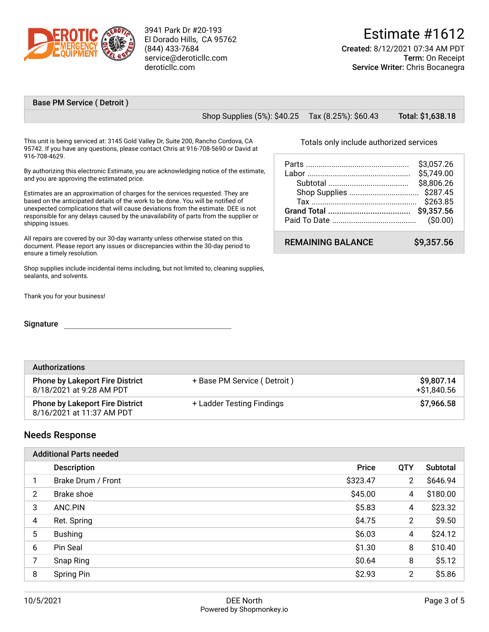

# Estimate #1612

Created: 8/12/2021 07:34 AM PDT Term: On Receipt Service Writer: Chris Bocanegra

#### Base PM Service ( Detroit )

Shop Supplies (5%): \$40.25 Tax (8.25%): \$60.43 Total: \$1,638.18

This unit is being serviced at: 3145 Gold Valley Dr, Suite 200, Rancho Cordova, CA 95742. If you have any questions, please contact Chris at 916-708-5690 or David at 916-708-4629.

By authorizing this electronic Estimate, you are acknowledging notice of the estimate, and you are approving the estimated price.

Estimates are an approximation of charges for the services requested. They are based on the anticipated details of the work to be done. You will be notifed of unexpected complications that will cause deviations from the estimate. DEE is not responsible for any delays caused by the unavailability of parts from the supplier or shipping issues.

All repairs are covered by our 30-day warranty unless otherwise stated on this document. Please report any issues or discrepancies within the 30-day period to ensure a timely resolution.

Shop supplies include incidental items including, but not limited to, cleaning supplies, sealants, and solvents.

Thank you for your business!

#### **Signature**

Totals only include authorized services

|                          | \$3,057.26<br>\$5,749.00<br>\$8,806.26<br>\$263.85 |
|--------------------------|----------------------------------------------------|
| <b>REMAINING BALANCE</b> | \$9.357.56                                         |

| <b>Authorizations</b>                                               |                             |                           |  |  |
|---------------------------------------------------------------------|-----------------------------|---------------------------|--|--|
| <b>Phone by Lakeport Fire District</b><br>8/18/2021 at 9:28 AM PDT  | + Base PM Service (Detroit) | \$9,807.14<br>+\$1,840.56 |  |  |
| <b>Phone by Lakeport Fire District</b><br>8/16/2021 at 11:37 AM PDT | + Ladder Testing Findings   | \$7,966.58                |  |  |

#### Needs Response

|                | <b>Additional Parts needed</b> |              |                |          |  |  |
|----------------|--------------------------------|--------------|----------------|----------|--|--|
|                | <b>Description</b>             | <b>Price</b> | QTY            | Subtotal |  |  |
| 1              | Brake Drum / Front             | \$323.47     | $\overline{2}$ | \$646.94 |  |  |
| $\overline{2}$ | Brake shoe                     | \$45.00      | 4              | \$180.00 |  |  |
| 3              | ANC.PIN                        | \$5.83       | 4              | \$23.32  |  |  |
| 4              | Ret. Spring                    | \$4.75       | $\overline{2}$ | \$9.50   |  |  |
| 5              | <b>Bushing</b>                 | \$6.03       | 4              | \$24.12  |  |  |
| 6              | Pin Seal                       | \$1.30       | 8              | \$10.40  |  |  |
| 7              | Snap Ring                      | \$0.64       | 8              | \$5.12   |  |  |
| 8              | Spring Pin                     | \$2.93       | 2              | \$5.86   |  |  |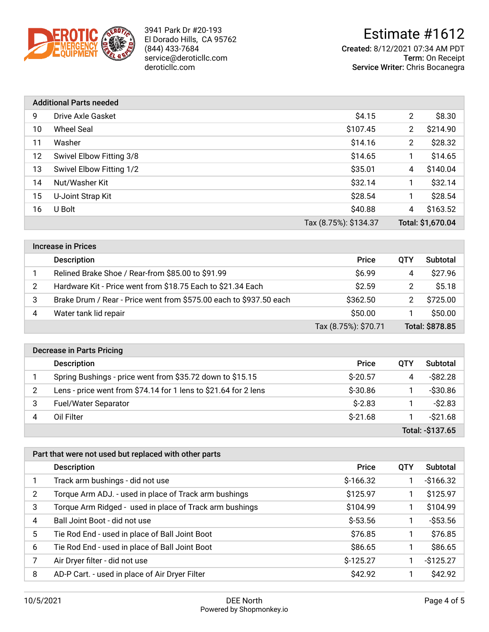

# Estimate #1612

Created: 8/12/2021 07:34 AM PDT Term: On Receipt Service Writer: Chris Bocanegra

|    | <b>Additional Parts needed</b> |                       |                |                   |  |  |  |
|----|--------------------------------|-----------------------|----------------|-------------------|--|--|--|
| 9  | Drive Axle Gasket              | \$4.15                | $\overline{2}$ | \$8.30            |  |  |  |
| 10 | <b>Wheel Seal</b>              | \$107.45              | $\overline{2}$ | \$214.90          |  |  |  |
| 11 | Washer                         | \$14.16               | $\overline{2}$ | \$28.32           |  |  |  |
| 12 | Swivel Elbow Fitting 3/8       | \$14.65               | 1              | \$14.65           |  |  |  |
| 13 | Swivel Elbow Fitting 1/2       | \$35.01               | 4              | \$140.04          |  |  |  |
| 14 | Nut/Washer Kit                 | \$32.14               | 1              | \$32.14           |  |  |  |
| 15 | U-Joint Strap Kit              | \$28.54               | 1              | \$28.54           |  |  |  |
| 16 | U Bolt                         | \$40.88               | 4              | \$163.52          |  |  |  |
|    |                                | Tax (8.75%): \$134.37 |                | Total: \$1,670.04 |  |  |  |

|   | <b>Increase in Prices</b>                                          |                      |     |                 |  |  |  |
|---|--------------------------------------------------------------------|----------------------|-----|-----------------|--|--|--|
|   | <b>Description</b>                                                 | <b>Price</b>         | OTY | Subtotal        |  |  |  |
|   | Relined Brake Shoe / Rear-from \$85.00 to \$91.99                  | \$6.99               | 4   | \$27.96         |  |  |  |
| 2 | Hardware Kit - Price went from \$18.75 Each to \$21.34 Each        | \$2.59               | 2   | \$5.18          |  |  |  |
|   | Brake Drum / Rear - Price went from \$575.00 each to \$937.50 each | \$362.50             |     | \$725.00        |  |  |  |
| 4 | Water tank lid repair                                              | \$50.00              |     | \$50.00         |  |  |  |
|   |                                                                    | Tax (8.75%): \$70.71 |     | Total: \$878.85 |  |  |  |

|                  | <b>Decrease in Parts Pricing</b>                                |              |            |             |  |  |  |
|------------------|-----------------------------------------------------------------|--------------|------------|-------------|--|--|--|
|                  | <b>Description</b>                                              | <b>Price</b> | <b>OTY</b> | Subtotal    |  |  |  |
|                  | Spring Bushings - price went from \$35.72 down to \$15.15       | $S-20.57$    | 4          | $-$ \$82.28 |  |  |  |
| 2                | Lens - price went from \$74.14 for 1 lens to \$21.64 for 2 lens | $$-30.86$    |            | $-$ \$30.86 |  |  |  |
| 3                | <b>Fuel/Water Separator</b>                                     | $S-2.83$     |            | $-$2.83$    |  |  |  |
| 4                | Oil Filter                                                      | $S-21.68$    |            | $-$ \$21.68 |  |  |  |
| Total: -\$137.65 |                                                                 |              |            |             |  |  |  |

| Part that were not used but replaced with other parts |                                                         |              |            |             |  |  |
|-------------------------------------------------------|---------------------------------------------------------|--------------|------------|-------------|--|--|
|                                                       | <b>Description</b>                                      | <b>Price</b> | <b>OTY</b> | Subtotal    |  |  |
|                                                       | Track arm bushings - did not use                        | $$-166.32$   |            | $-$166.32$  |  |  |
| 2                                                     | Torque Arm ADJ. - used in place of Track arm bushings   | \$125.97     |            | \$125.97    |  |  |
| 3                                                     | Torque Arm Ridged - used in place of Track arm bushings | \$104.99     |            | \$104.99    |  |  |
| 4                                                     | Ball Joint Boot - did not use                           | $$-53.56$    | 1          | $-$ \$53.56 |  |  |
| 5                                                     | Tie Rod End - used in place of Ball Joint Boot          | \$76.85      |            | \$76.85     |  |  |
| 6                                                     | Tie Rod End - used in place of Ball Joint Boot          | \$86.65      |            | \$86.65     |  |  |
| 7                                                     | Air Dryer filter - did not use                          | $$-125.27$   |            | $-$125.27$  |  |  |
| 8                                                     | AD-P Cart. - used in place of Air Dryer Filter          | \$42.92      |            | \$42.92     |  |  |